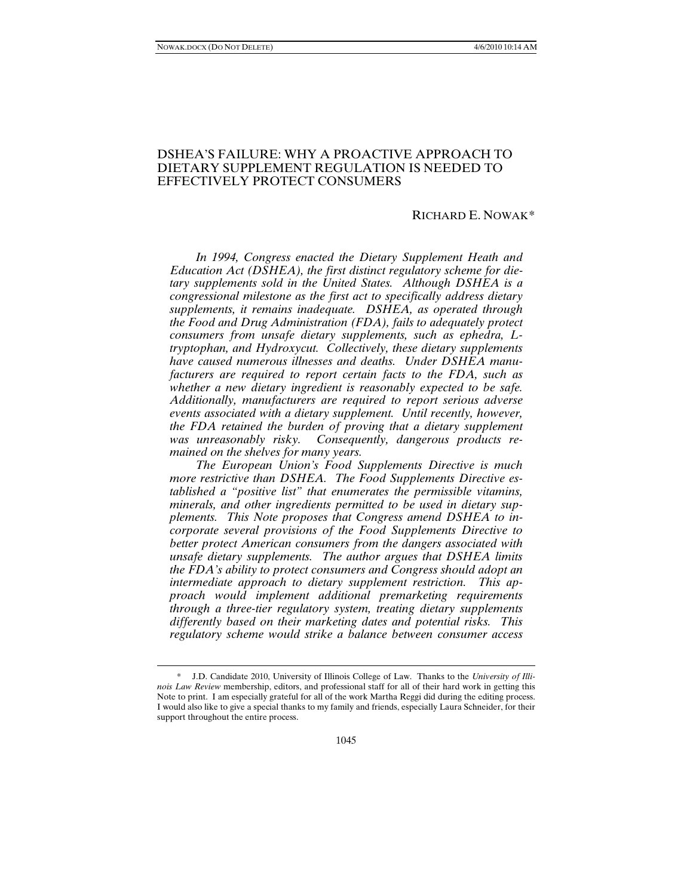l

# DSHEA'S FAILURE: WHY A PROACTIVE APPROACH TO DIETARY SUPPLEMENT REGULATION IS NEEDED TO EFFECTIVELY PROTECT CONSUMERS

# RICHARD E. NOWAK[\\*](#page-0-0)

*In 1994, Congress enacted the Dietary Supplement Heath and Education Act (DSHEA), the first distinct regulatory scheme for dietary supplements sold in the United States. Although DSHEA is a congressional milestone as the first act to specifically address dietary supplements, it remains inadequate. DSHEA, as operated through the Food and Drug Administration (FDA), fails to adequately protect consumers from unsafe dietary supplements, such as ephedra, Ltryptophan, and Hydroxycut. Collectively, these dietary supplements have caused numerous illnesses and deaths. Under DSHEA manufacturers are required to report certain facts to the FDA, such as whether a new dietary ingredient is reasonably expected to be safe. Additionally, manufacturers are required to report serious adverse events associated with a dietary supplement. Until recently, however, the FDA retained the burden of proving that a dietary supplement was unreasonably risky. Consequently, dangerous products remained on the shelves for many years.*

*The European Union's Food Supplements Directive is much more restrictive than DSHEA. The Food Supplements Directive established a "positive list" that enumerates the permissible vitamins, minerals, and other ingredients permitted to be used in dietary supplements. This Note proposes that Congress amend DSHEA to incorporate several provisions of the Food Supplements Directive to better protect American consumers from the dangers associated with unsafe dietary supplements. The author argues that DSHEA limits the FDA's ability to protect consumers and Congress should adopt an intermediate approach to dietary supplement restriction. This approach would implement additional premarketing requirements through a three-tier regulatory system, treating dietary supplements differently based on their marketing dates and potential risks. This regulatory scheme would strike a balance between consumer access* 

<span id="page-0-0"></span><sup>\*</sup> J.D. Candidate 2010, University of Illinois College of Law. Thanks to the *University of Illinois Law Review* membership, editors, and professional staff for all of their hard work in getting this Note to print. I am especially grateful for all of the work Martha Reggi did during the editing process. I would also like to give a special thanks to my family and friends, especially Laura Schneider, for their support throughout the entire process.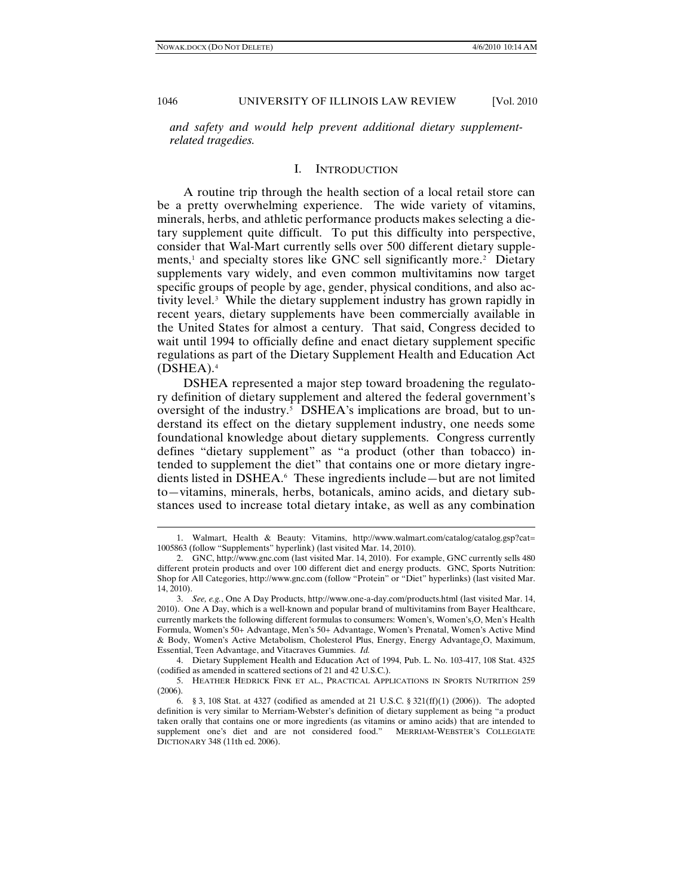1046 UNIVERSITY OF ILLINOIS LAW REVIEW [Vol. 2010]

*and safety and would help prevent additional dietary supplementrelated tragedies.* 

#### I. INTRODUCTION

A routine trip through the health section of a local retail store can be a pretty overwhelming experience. The wide variety of vitamins, minerals, herbs, and athletic performance products makes selecting a dietary supplement quite difficult. To put this difficulty into perspective, consider that Wal-Mart currently sells over 500 different dietary supple-ments,<sup>[1](#page-1-0)</sup> and specialty stores like GNC sell significantly more.<sup>[2](#page-1-1)</sup> Dietary supplements vary widely, and even common multivitamins now target specific groups of people by age, gender, physical conditions, and also ac-tivity level.<sup>[3](#page-1-2)</sup> While the dietary supplement industry has grown rapidly in recent years, dietary supplements have been commercially available in the United States for almost a century. That said, Congress decided to wait until 1994 to officially define and enact dietary supplement specific regulations as part of the Dietary Supplement Health and Education Act (DSHEA).[4](#page-1-3)

DSHEA represented a major step toward broadening the regulatory definition of dietary supplement and altered the federal government's oversight of the industry.<sup>[5](#page-1-4)</sup> DSHEA's implications are broad, but to understand its effect on the dietary supplement industry, one needs some foundational knowledge about dietary supplements. Congress currently defines "dietary supplement" as "a product (other than tobacco) intended to supplement the diet" that contains one or more dietary ingredients listed in DSHEA.[6](#page-1-5) These ingredients include—but are not limited to—vitamins, minerals, herbs, botanicals, amino acids, and dietary substances used to increase total dietary intake, as well as any combination

<span id="page-1-0"></span><sup>1.</sup> Walmart, Health & Beauty: Vitamins, http://www.walmart.com/catalog/catalog.gsp?cat= 1005863 (follow "Supplements" hyperlink) (last visited Mar. 14, 2010).

<span id="page-1-1"></span><sup>2.</sup> GNC, http://www.gnc.com (last visited Mar. 14, 2010). For example, GNC currently sells 480 different protein products and over 100 different diet and energy products. GNC, Sports Nutrition: Shop for All Categories, http://www.gnc.com (follow "Protein" or "Diet" hyperlinks) (last visited Mar. 14, 2010).

<span id="page-1-2"></span><sup>3.</sup> *See, e.g.*, One A Day Products, http://www.one-a-day.com/products.html (last visited Mar. 14, 2010). One A Day, which is a well-known and popular brand of multivitamins from Bayer Healthcare, currently markets the following different formulas to consumers: Women's, Women's, O, Men's Health Formula, Women's 50+ Advantage, Men's 50+ Advantage, Women's Prenatal, Women's Active Mind & Body, Women's Active Metabolism, Cholesterol Plus, Energy, Energy Advantage<sub>2</sub>O, Maximum, Essential, Teen Advantage, and Vitacraves Gummies. *Id.*

<span id="page-1-3"></span><sup>4.</sup> Dietary Supplement Health and Education Act of 1994, Pub. L. No. 103-417, 108 Stat. 4325 (codified as amended in scattered sections of 21 and 42 U.S.C.).

<span id="page-1-4"></span><sup>5.</sup> HEATHER HEDRICK FINK ET AL., PRACTICAL APPLICATIONS IN SPORTS NUTRITION 259 (2006).

<span id="page-1-5"></span><sup>6.</sup> § 3, 108 Stat. at 4327 (codified as amended at 21 U.S.C. § 321(ff)(1) (2006)). The adopted definition is very similar to Merriam-Webster's definition of dietary supplement as being "a product taken orally that contains one or more ingredients (as vitamins or amino acids) that are intended to supplement one's diet and are not considered food." MERRIAM-WEBSTER'S COLLEGIATE DICTIONARY 348 (11th ed. 2006).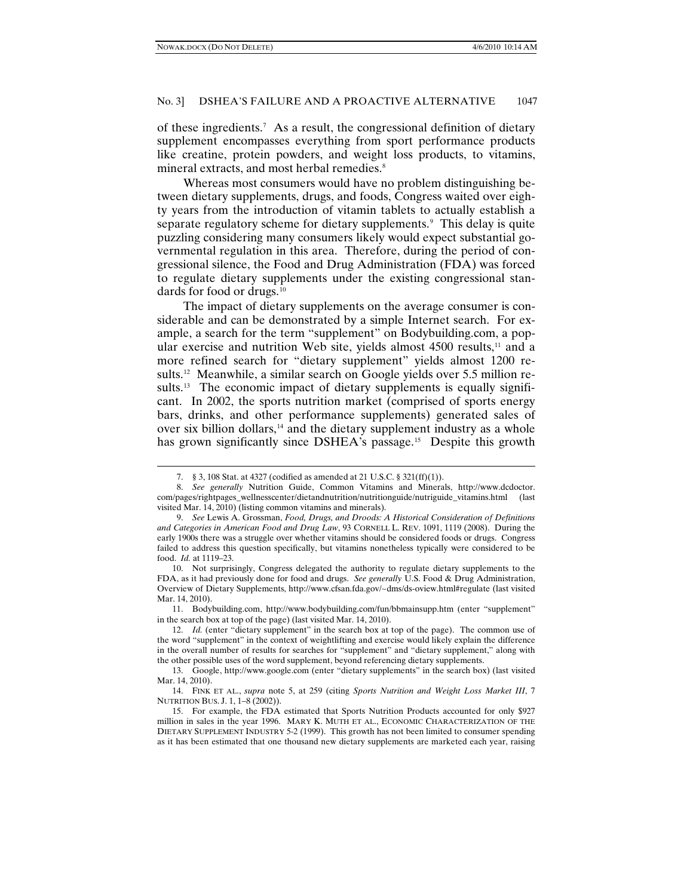#### No. 3] DSHEA'S FAILURE AND A PROACTIVE ALTERNATIVE 1047

of these ingredients.[7](#page-2-0) As a result, the congressional definition of dietary supplement encompasses everything from sport performance products like creatine, protein powders, and weight loss products, to vitamins, mineral extracts, and most herbal remedies.<sup>[8](#page-2-1)</sup>

Whereas most consumers would have no problem distinguishing between dietary supplements, drugs, and foods, Congress waited over eighty years from the introduction of vitamin tablets to actually establish a separate regulatory scheme for dietary supplements.<sup>[9](#page-2-2)</sup> This delay is quite puzzling considering many consumers likely would expect substantial governmental regulation in this area. Therefore, during the period of congressional silence, the Food and Drug Administration (FDA) was forced to regulate dietary supplements under the existing congressional stan-dards for food or drugs.<sup>[10](#page-2-3)</sup>

The impact of dietary supplements on the average consumer is considerable and can be demonstrated by a simple Internet search. For example, a search for the term "supplement" on Bodybuilding.com, a popular exercise and nutrition Web site, yields almost  $4500$  results,<sup>[11](#page-2-4)</sup> and a more refined search for "dietary supplement" yields almost 1200 results[.12](#page-2-5) Meanwhile, a similar search on Google yields over 5.5 million results.<sup>13</sup> The economic impact of dietary supplements is equally significant. In 2002, the sports nutrition market (comprised of sports energy bars, drinks, and other performance supplements) generated sales of over six billion dollars,<sup>[14](#page-2-7)</sup> and the dietary supplement industry as a whole has grown significantly since DSHEA's passage.<sup>[15](#page-2-8)</sup> Despite this growth

<sup>7.</sup> § 3, 108 Stat. at 4327 (codified as amended at 21 U.S.C. § 321(ff)(1)).

<span id="page-2-1"></span><span id="page-2-0"></span><sup>8.</sup> *See generally* Nutrition Guide, Common Vitamins and Minerals, http://www.dcdoctor. com/pages/rightpages\_wellnesscenter/dietandnutrition/nutritionguide/nutriguide\_vitamins.html (last visited Mar. 14, 2010) (listing common vitamins and minerals).

<span id="page-2-2"></span><sup>9.</sup> *See* Lewis A. Grossman, *Food, Drugs, and Droods: A Historical Consideration of Definitions and Categories in American Food and Drug Law*, 93 CORNELL L. REV. 1091, 1119 (2008). During the early 1900s there was a struggle over whether vitamins should be considered foods or drugs. Congress failed to address this question specifically, but vitamins nonetheless typically were considered to be food. *Id.* at 1119–23.

<span id="page-2-3"></span><sup>10.</sup> Not surprisingly, Congress delegated the authority to regulate dietary supplements to the FDA, as it had previously done for food and drugs. *See generally* U.S. Food & Drug Administration, Overview of Dietary Supplements, http://www.cfsan.fda.gov/~dms/ds-oview.html#regulate (last visited Mar. 14, 2010).

<span id="page-2-4"></span><sup>11.</sup> Bodybuilding.com, http://www.bodybuilding.com/fun/bbmainsupp.htm (enter "supplement" in the search box at top of the page) (last visited Mar. 14, 2010).

<span id="page-2-5"></span><sup>12.</sup> *Id.* (enter "dietary supplement" in the search box at top of the page). The common use of the word "supplement" in the context of weightlifting and exercise would likely explain the difference in the overall number of results for searches for "supplement" and "dietary supplement," along with the other possible uses of the word supplement, beyond referencing dietary supplements.

<span id="page-2-6"></span><sup>13.</sup> Google, http://www.google.com (enter "dietary supplements" in the search box) (last visited Mar. 14, 2010).

<span id="page-2-7"></span><sup>14.</sup> FINK ET AL., *supra* note 5, at 259 (citing *Sports Nutrition and Weight Loss Market III*, 7 NUTRITION BUS. J. 1, 1–8 (2002)).

<span id="page-2-8"></span><sup>15.</sup> For example, the FDA estimated that Sports Nutrition Products accounted for only \$927 million in sales in the year 1996. MARY K. MUTH ET AL., ECONOMIC CHARACTERIZATION OF THE DIETARY SUPPLEMENT INDUSTRY 5-2 (1999). This growth has not been limited to consumer spending as it has been estimated that one thousand new dietary supplements are marketed each year, raising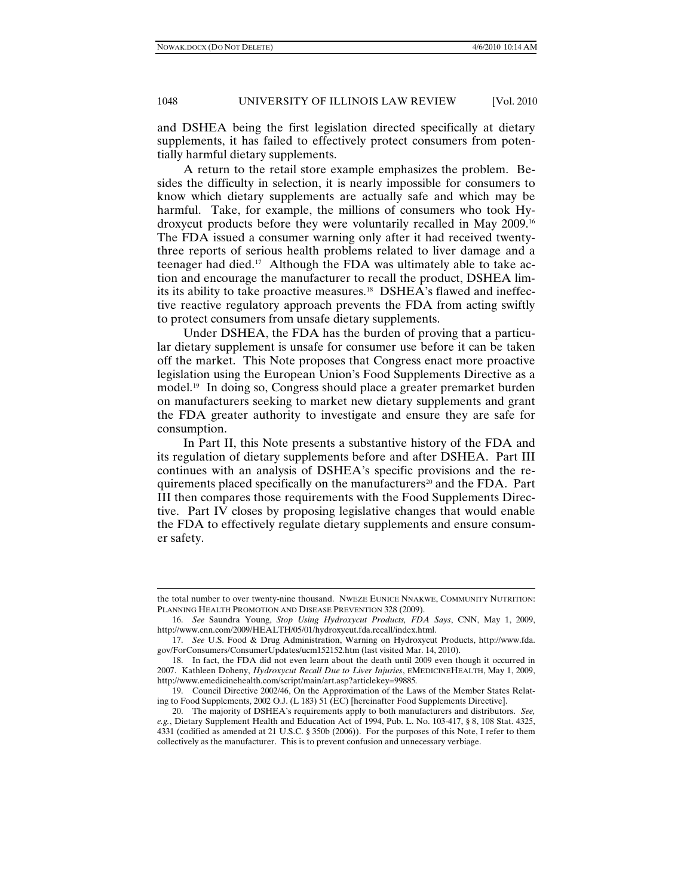# 1048 UNIVERSITY OF ILLINOIS LAW REVIEW [Vol. 2010]

and DSHEA being the first legislation directed specifically at dietary supplements, it has failed to effectively protect consumers from potentially harmful dietary supplements.

A return to the retail store example emphasizes the problem. Besides the difficulty in selection, it is nearly impossible for consumers to know which dietary supplements are actually safe and which may be harmful. Take, for example, the millions of consumers who took Hydroxycut products before they were voluntarily recalled in May 2009[.16](#page-3-0)  The FDA issued a consumer warning only after it had received twentythree reports of serious health problems related to liver damage and a teenager had died[.17](#page-3-1) Although the FDA was ultimately able to take action and encourage the manufacturer to recall the product, DSHEA lim-its its ability to take proactive measures.<sup>[18](#page-3-2)</sup> DSHEA's flawed and ineffective reactive regulatory approach prevents the FDA from acting swiftly to protect consumers from unsafe dietary supplements.

Under DSHEA, the FDA has the burden of proving that a particular dietary supplement is unsafe for consumer use before it can be taken off the market. This Note proposes that Congress enact more proactive legislation using the European Union's Food Supplements Directive as a model. [19](#page-3-3) In doing so, Congress should place a greater premarket burden on manufacturers seeking to market new dietary supplements and grant the FDA greater authority to investigate and ensure they are safe for consumption.

In Part II, this Note presents a substantive history of the FDA and its regulation of dietary supplements before and after DSHEA. Part III continues with an analysis of DSHEA's specific provisions and the requirements placed specifically on the manufacturers [20](#page-3-4) and the FDA. Part III then compares those requirements with the Food Supplements Directive. Part IV closes by proposing legislative changes that would enable the FDA to effectively regulate dietary supplements and ensure consumer safety.

the total number to over twenty-nine thousand. NWEZE EUNICE NNAKWE, COMMUNITY NUTRITION: PLANNING HEALTH PROMOTION AND DISEASE PREVENTION 328 (2009).

<span id="page-3-0"></span><sup>16.</sup> *See* Saundra Young, *Stop Using Hydroxycut Products, FDA Says*, CNN, May 1, 2009, http://www.cnn.com/2009/HEALTH/05/01/hydroxycut.fda.recall/index.html.

<span id="page-3-1"></span><sup>17.</sup> *See* U.S. Food & Drug Administration, Warning on Hydroxycut Products, http://www.fda. gov/ForConsumers/ConsumerUpdates/ucm152152.htm (last visited Mar. 14, 2010).

<span id="page-3-2"></span><sup>18.</sup> In fact, the FDA did not even learn about the death until 2009 even though it occurred in 2007. Kathleen Doheny, *Hydroxycut Recall Due to Liver Injuries*, EMEDICINEHEALTH, May 1, 2009, http://www.emedicinehealth.com/script/main/art.asp?articlekey=99885*.*

<span id="page-3-3"></span><sup>19.</sup> Council Directive 2002/46, On the Approximation of the Laws of the Member States Relating to Food Supplements, 2002 O.J. (L 183) 51 (EC) [hereinafter Food Supplements Directive].

<span id="page-3-4"></span><sup>20.</sup> The majority of DSHEA's requirements apply to both manufacturers and distributors. *See, e.g.*, Dietary Supplement Health and Education Act of 1994, Pub. L. No. 103-417, § 8, 108 Stat. 4325, 4331 (codified as amended at 21 U.S.C. § 350b (2006)). For the purposes of this Note, I refer to them collectively as the manufacturer. This is to prevent confusion and unnecessary verbiage.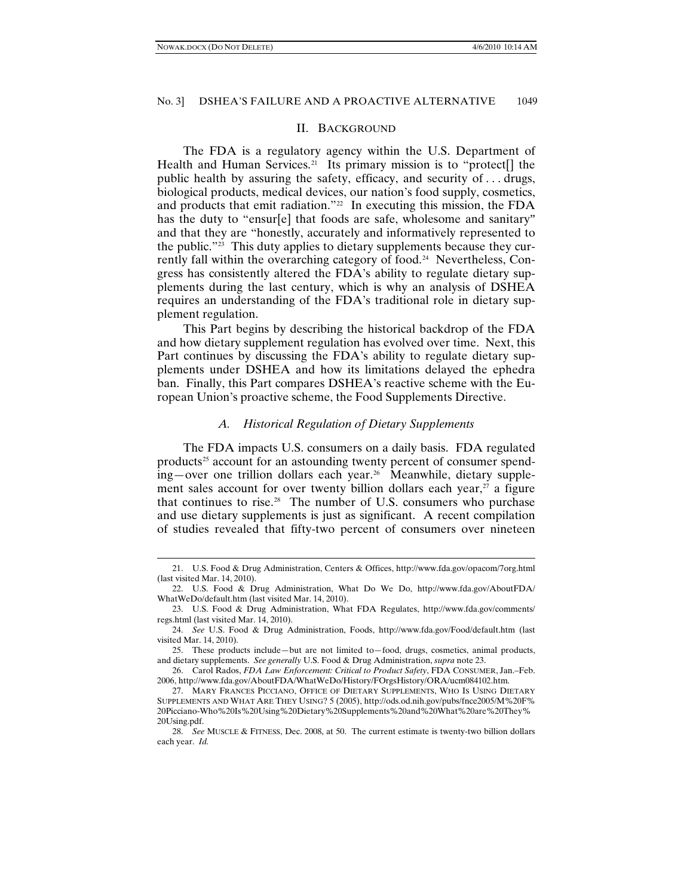#### No. 3] DSHEA'S FAILURE AND A PROACTIVE ALTERNATIVE 1049

#### II. BACKGROUND

The FDA is a regulatory agency within the U.S. Department of Health and Human Services.<sup>21</sup> Its primary mission is to "protect<sup>[]</sup> the public health by assuring the safety, efficacy, and security of . . . drugs, biological products, medical devices, our nation's food supply, cosmetics, and products that emit radiation."<sup>[22](#page-4-1)</sup> In executing this mission, the FDA has the duty to "ensur[e] that foods are safe, wholesome and sanitary" and that they are "honestly, accurately and informatively represented to the public."<sup>[23](#page-4-2)</sup> This duty applies to dietary supplements because they cur-rently fall within the overarching category of food.<sup>[24](#page-4-3)</sup> Nevertheless, Congress has consistently altered the FDA's ability to regulate dietary supplements during the last century, which is why an analysis of DSHEA requires an understanding of the FDA's traditional role in dietary supplement regulation.

This Part begins by describing the historical backdrop of the FDA and how dietary supplement regulation has evolved over time. Next, this Part continues by discussing the FDA's ability to regulate dietary supplements under DSHEA and how its limitations delayed the ephedra ban. Finally, this Part compares DSHEA's reactive scheme with the European Union's proactive scheme, the Food Supplements Directive.

#### *A. Historical Regulation of Dietary Supplements*

The FDA impacts U.S. consumers on a daily basis. FDA regulated products<sup>[25](#page-4-4)</sup> account for an astounding twenty percent of consumer spend $ing$ —over one trillion dollars each year.<sup>26</sup> Meanwhile, dietary supplement sales account for over twenty billion dollars each year, $27$  a figure that continues to rise.[28](#page-4-7) The number of U.S. consumers who purchase and use dietary supplements is just as significant. A recent compilation of studies revealed that fifty-two percent of consumers over nineteen

<span id="page-4-0"></span><sup>21.</sup> U.S. Food & Drug Administration, Centers & Offices, http://www.fda.gov/opacom/7org.html (last visited Mar. 14, 2010).

<span id="page-4-1"></span><sup>22.</sup> U.S. Food & Drug Administration, What Do We Do, http://www.fda.gov/AboutFDA/ WhatWeDo/default.htm (last visited Mar. 14, 2010).

<span id="page-4-2"></span><sup>23.</sup> U.S. Food & Drug Administration, What FDA Regulates, http://www.fda.gov/comments/ regs.html (last visited Mar. 14, 2010).

<span id="page-4-3"></span><sup>24.</sup> *See* U.S. Food & Drug Administration, Foods, http://www.fda.gov/Food/default.htm (last visited Mar. 14, 2010).

<span id="page-4-4"></span><sup>25.</sup> These products include—but are not limited to—food, drugs, cosmetics, animal products, and dietary supplements. *See generally* U.S. Food & Drug Administration, *supra* note 23.

<span id="page-4-5"></span><sup>26.</sup> Carol Rados, *FDA Law Enforcement: Critical to Product Safety*, FDA CONSUMER, Jan.–Feb. 2006, http://www.fda.gov/AboutFDA/WhatWeDo/History/FOrgsHistory/ORA/ucm084102.htm.

<span id="page-4-6"></span><sup>27.</sup> MARY FRANCES PICCIANO, OFFICE OF DIETARY SUPPLEMENTS, WHO IS USING DIETARY SUPPLEMENTS AND WHAT ARE THEY USING? 5 (2005), http://ods.od.nih.gov/pubs/fnce2005/M%20F% 20Picciano-Who%20Is%20Using%20Dietary%20Supplements%20and%20What%20are%20They% 20Using.pdf.

<span id="page-4-7"></span><sup>28.</sup> *See* MUSCLE & FITNESS, Dec. 2008, at 50. The current estimate is twenty-two billion dollars each year. *Id.*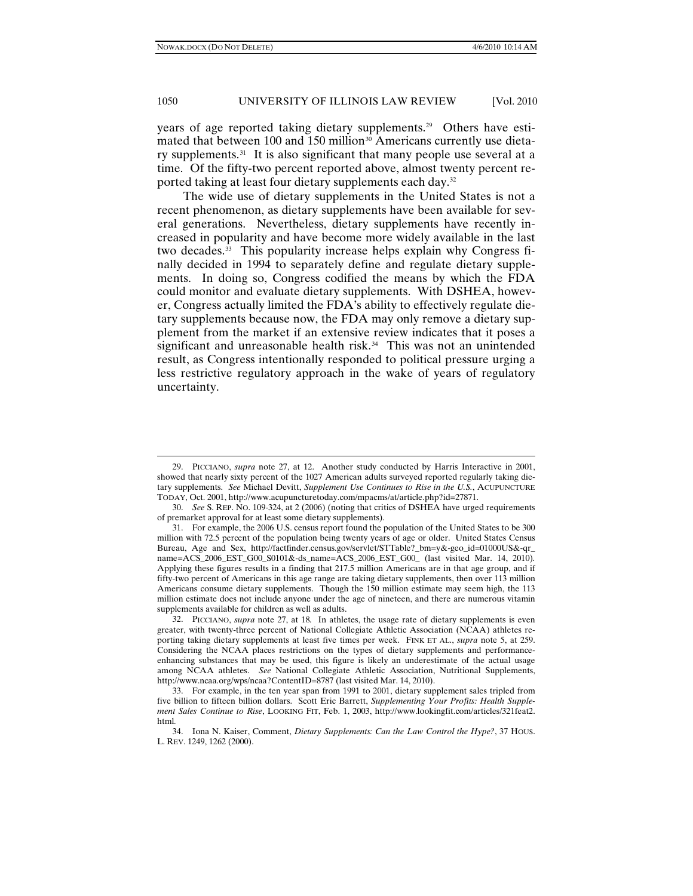# 1050 UNIVERSITY OF ILLINOIS LAW REVIEW [Vol. 2010]

years of age reported taking dietary supplements.[29](#page-5-0) Others have esti-mated that between 100 and 150 million<sup>[30](#page-5-1)</sup> Americans currently use dietary supplements.<sup>31</sup> It is also significant that many people use several at a time. Of the fifty-two percent reported above, almost twenty percent reported taking at least four dietary supplements each day.[32](#page-5-3)

The wide use of dietary supplements in the United States is not a recent phenomenon, as dietary supplements have been available for several generations. Nevertheless, dietary supplements have recently increased in popularity and have become more widely available in the last two decades.[33](#page-5-4) This popularity increase helps explain why Congress finally decided in 1994 to separately define and regulate dietary supplements. In doing so, Congress codified the means by which the FDA could monitor and evaluate dietary supplements. With DSHEA, however, Congress actually limited the FDA's ability to effectively regulate dietary supplements because now, the FDA may only remove a dietary supplement from the market if an extensive review indicates that it poses a significant and unreasonable health risk.<sup>[34](#page-5-5)</sup> This was not an unintended result, as Congress intentionally responded to political pressure urging a less restrictive regulatory approach in the wake of years of regulatory uncertainty.

<span id="page-5-0"></span><sup>29.</sup> PICCIANO, *supra* note 27, at 12. Another study conducted by Harris Interactive in 2001, showed that nearly sixty percent of the 1027 American adults surveyed reported regularly taking dietary supplements. *See* Michael Devitt, *Supplement Use Continues to Rise in the U.S.*, ACUPUNCTURE TODAY, Oct. 2001, http://www.acupuncturetoday.com/mpacms/at/article.php?id=27871.

<span id="page-5-1"></span><sup>30.</sup> *See* S. REP. NO. 109-324, at 2 (2006) (noting that critics of DSHEA have urged requirements of premarket approval for at least some dietary supplements).

<span id="page-5-2"></span><sup>31.</sup> For example, the 2006 U.S. census report found the population of the United States to be 300 million with 72.5 percent of the population being twenty years of age or older. United States Census Bureau, Age and Sex, http://factfinder.census.gov/servlet/STTable?\_bm=y&-geo\_id=01000US&-qr\_ name=ACS\_2006\_EST\_G00\_S0101&-ds\_name=ACS\_2006\_EST\_G00\_ (last visited Mar. 14, 2010)*.*  Applying these figures results in a finding that 217.5 million Americans are in that age group, and if fifty-two percent of Americans in this age range are taking dietary supplements, then over 113 million Americans consume dietary supplements. Though the 150 million estimate may seem high, the 113 million estimate does not include anyone under the age of nineteen, and there are numerous vitamin supplements available for children as well as adults.

<span id="page-5-3"></span><sup>32.</sup> PICCIANO, *supra* note 27, at 18*.* In athletes, the usage rate of dietary supplements is even greater, with twenty-three percent of National Collegiate Athletic Association (NCAA) athletes reporting taking dietary supplements at least five times per week. FINK ET AL., *supra* note 5, at 259. Considering the NCAA places restrictions on the types of dietary supplements and performanceenhancing substances that may be used, this figure is likely an underestimate of the actual usage among NCAA athletes. *See* National Collegiate Athletic Association, Nutritional Supplements, http://www.ncaa.org/wps/ncaa?ContentID=8787 (last visited Mar. 14, 2010).

<span id="page-5-4"></span><sup>33.</sup> For example, in the ten year span from 1991 to 2001, dietary supplement sales tripled from five billion to fifteen billion dollars. Scott Eric Barrett, *Supplementing Your Profits: Health Supplement Sales Continue to Rise*, LOOKING FIT, Feb. 1, 2003, http://www.lookingfit.com/articles/321feat2. html*.*

<span id="page-5-5"></span><sup>34.</sup> Iona N. Kaiser, Comment, *Dietary Supplements: Can the Law Control the Hype?*, 37 HOUS. L. REV. 1249, 1262 (2000).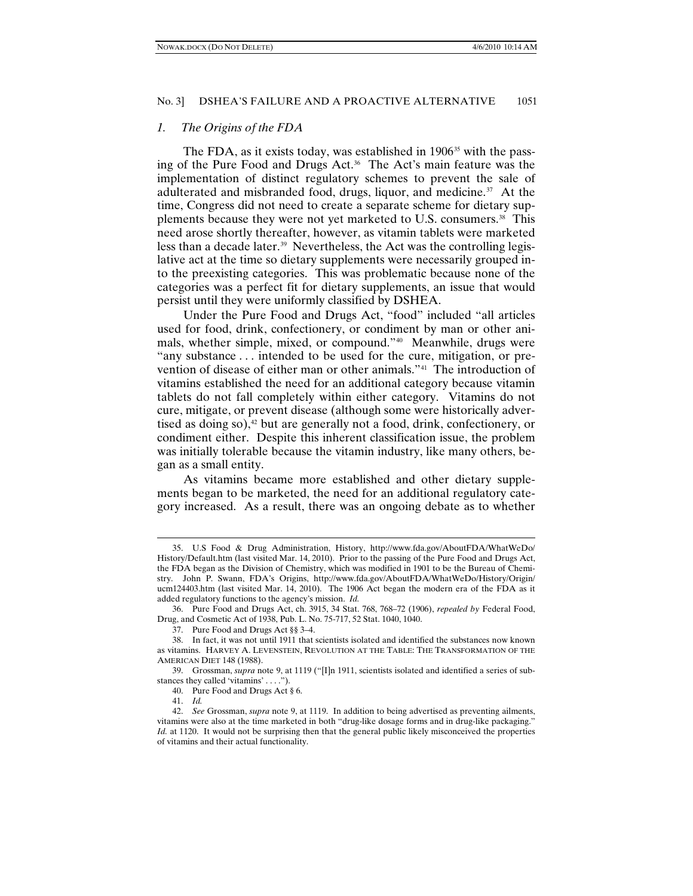#### *1. The Origins of the FDA*

The FDA, as it exists today, was established in 1906<sup>[35](#page-6-0)</sup> with the pass-ing of the Pure Food and Drugs Act.<sup>[36](#page-6-1)</sup> The Act's main feature was the implementation of distinct regulatory schemes to prevent the sale of adulterated and misbranded food, drugs, liquor, and medicine.<sup>[37](#page-6-2)</sup> At the time, Congress did not need to create a separate scheme for dietary supplements because they were not yet marketed to U.S. consumers.[38](#page-6-3) This need arose shortly thereafter, however, as vitamin tablets were marketed less than a decade later.<sup>[39](#page-6-4)</sup> Nevertheless, the Act was the controlling legislative act at the time so dietary supplements were necessarily grouped into the preexisting categories. This was problematic because none of the categories was a perfect fit for dietary supplements, an issue that would persist until they were uniformly classified by DSHEA.

Under the Pure Food and Drugs Act, "food" included "all articles used for food, drink, confectionery, or condiment by man or other animals, whether simple, mixed, or compound." [40](#page-6-5) Meanwhile, drugs were "any substance . . . intended to be used for the cure, mitigation, or prevention of disease of either man or other animals."[41](#page-6-6) The introduction of vitamins established the need for an additional category because vitamin tablets do not fall completely within either category. Vitamins do not cure, mitigate, or prevent disease (although some were historically adver-tised as doing so),<sup>[42](#page-6-7)</sup> but are generally not a food, drink, confectionery, or condiment either. Despite this inherent classification issue, the problem was initially tolerable because the vitamin industry, like many others, began as a small entity.

As vitamins became more established and other dietary supplements began to be marketed, the need for an additional regulatory category increased. As a result, there was an ongoing debate as to whether

<span id="page-6-0"></span><sup>35.</sup> U.S Food & Drug Administration, History, http://www.fda.gov/AboutFDA/WhatWeDo/ History/Default.htm (last visited Mar. 14, 2010). Prior to the passing of the Pure Food and Drugs Act, the FDA began as the Division of Chemistry, which was modified in 1901 to be the Bureau of Chemistry. John P. Swann, FDA's Origins, http://www.fda.gov/AboutFDA/WhatWeDo/History/Origin/ ucm124403.htm (last visited Mar. 14, 2010).The 1906 Act began the modern era of the FDA as it added regulatory functions to the agency's mission. *Id.*

<span id="page-6-1"></span><sup>36.</sup> Pure Food and Drugs Act, ch. 3915, 34 Stat. 768, 768–72 (1906), *repealed by* Federal Food, Drug, and Cosmetic Act of 1938, Pub. L. No. 75-717, 52 Stat. 1040, 1040.

<sup>37.</sup> Pure Food and Drugs Act §§ 3–4.

<span id="page-6-3"></span><span id="page-6-2"></span><sup>38.</sup> In fact, it was not until 1911 that scientists isolated and identified the substances now known as vitamins. HARVEY A. LEVENSTEIN, REVOLUTION AT THE TABLE: THE TRANSFORMATION OF THE AMERICAN DIET 148 (1988).

<span id="page-6-5"></span><span id="page-6-4"></span><sup>39.</sup> Grossman, *supra* note 9, at 1119 ("[I]n 1911, scientists isolated and identified a series of substances they called 'vitamins' . . . .").

<sup>40.</sup> Pure Food and Drugs Act § 6.

<sup>41.</sup> *Id.* 

<span id="page-6-7"></span><span id="page-6-6"></span><sup>42.</sup> *See* Grossman, *supra* note 9, at 1119. In addition to being advertised as preventing ailments, vitamins were also at the time marketed in both "drug-like dosage forms and in drug-like packaging." *Id.* at 1120. It would not be surprising then that the general public likely misconceived the properties of vitamins and their actual functionality.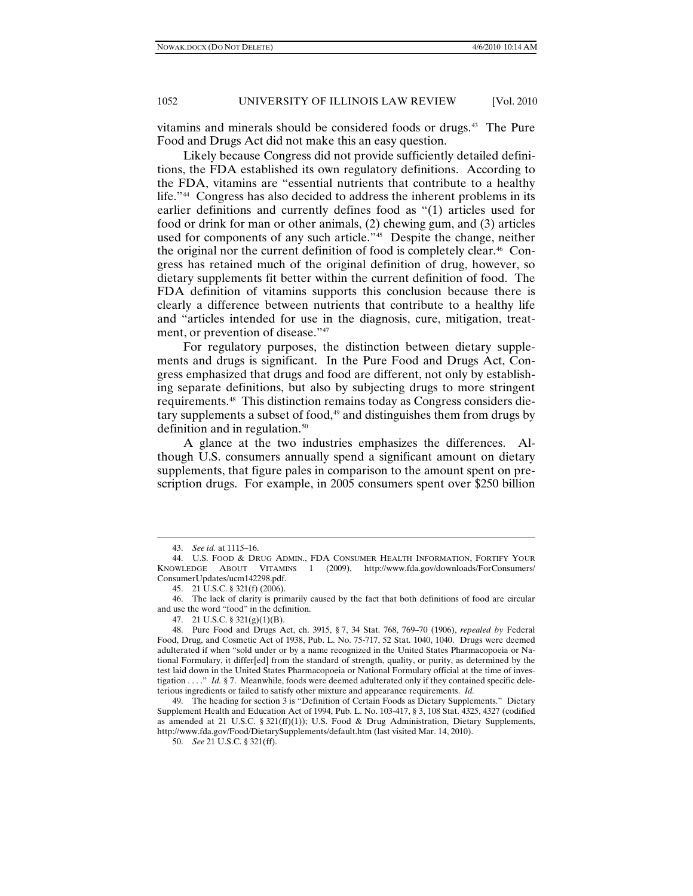vitamins and minerals should be considered foods or drugs.<sup>[43](#page-7-0)</sup> The Pure Food and Drugs Act did not make this an easy question.

Likely because Congress did not provide sufficiently detailed definitions, the FDA established its own regulatory definitions. According to the FDA, vitamins are "essential nutrients that contribute to a healthy life." [44](#page-7-1) Congress has also decided to address the inherent problems in its earlier definitions and currently defines food as "(1) articles used for food or drink for man or other animals, (2) chewing gum, and (3) articles used for components of any such article."<sup>[45](#page-7-2)</sup> Despite the change, neither the original nor the current definition of food is completely clear.<sup>[46](#page-7-3)</sup> Congress has retained much of the original definition of drug, however, so dietary supplements fit better within the current definition of food. The FDA definition of vitamins supports this conclusion because there is clearly a difference between nutrients that contribute to a healthy life and "articles intended for use in the diagnosis, cure, mitigation, treatment, or prevention of disease."<sup>47</sup>

For regulatory purposes, the distinction between dietary supplements and drugs is significant. In the Pure Food and Drugs Act, Congress emphasized that drugs and food are different, not only by establishing separate definitions, but also by subjecting drugs to more stringent requirements.[48](#page-7-5) This distinction remains today as Congress considers dietary supplements a subset of food, $49$  and distinguishes them from drugs by definition and in regulation.<sup>[50](#page-7-7)</sup>

A glance at the two industries emphasizes the differences. Although U.S. consumers annually spend a significant amount on dietary supplements, that figure pales in comparison to the amount spent on prescription drugs. For example, in 2005 consumers spent over \$250 billion

<sup>43.</sup> *See id.* at 1115–16.

<span id="page-7-1"></span><span id="page-7-0"></span><sup>44.</sup> U.S. FOOD & DRUG ADMIN., FDA CONSUMER HEALTH INFORMATION, FORTIFY YOUR KNOWLEDGE ABOUT VITAMINS 1 (2009), http://www.fda.gov/downloads/ForConsumers/ ConsumerUpdates/ucm142298.pdf.

<sup>45.</sup> 21 U.S.C. § 321(f) (2006).

<span id="page-7-3"></span><span id="page-7-2"></span><sup>46.</sup> The lack of clarity is primarily caused by the fact that both definitions of food are circular and use the word "food" in the definition.

<sup>47.</sup> 21 U.S.C. § 321(g)(1)(B).

<span id="page-7-5"></span><span id="page-7-4"></span><sup>48.</sup> Pure Food and Drugs Act, ch. 3915, § 7, 34 Stat. 768, 769–70 (1906), *repealed by* Federal Food, Drug, and Cosmetic Act of 1938, Pub. L. No. 75-717, 52 Stat. 1040, 1040. Drugs were deemed adulterated if when "sold under or by a name recognized in the United States Pharmacopoeia or National Formulary, it differ[ed] from the standard of strength, quality, or purity, as determined by the test laid down in the United States Pharmacopoeia or National Formulary official at the time of investigation . . . ." *Id.* § 7. Meanwhile, foods were deemed adulterated only if they contained specific deleterious ingredients or failed to satisfy other mixture and appearance requirements. *Id.* 

<span id="page-7-7"></span><span id="page-7-6"></span><sup>49.</sup> The heading for section 3 is "Definition of Certain Foods as Dietary Supplements." Dietary Supplement Health and Education Act of 1994, Pub. L. No. 103-417, § 3, 108 Stat. 4325, 4327 (codified as amended at 21 U.S.C. § 321(ff)(1)); U.S. Food & Drug Administration, Dietary Supplements, http://www.fda.gov/Food/DietarySupplements/default.htm (last visited Mar. 14, 2010).

<sup>50.</sup> *See* 21 U.S.C. § 321(ff).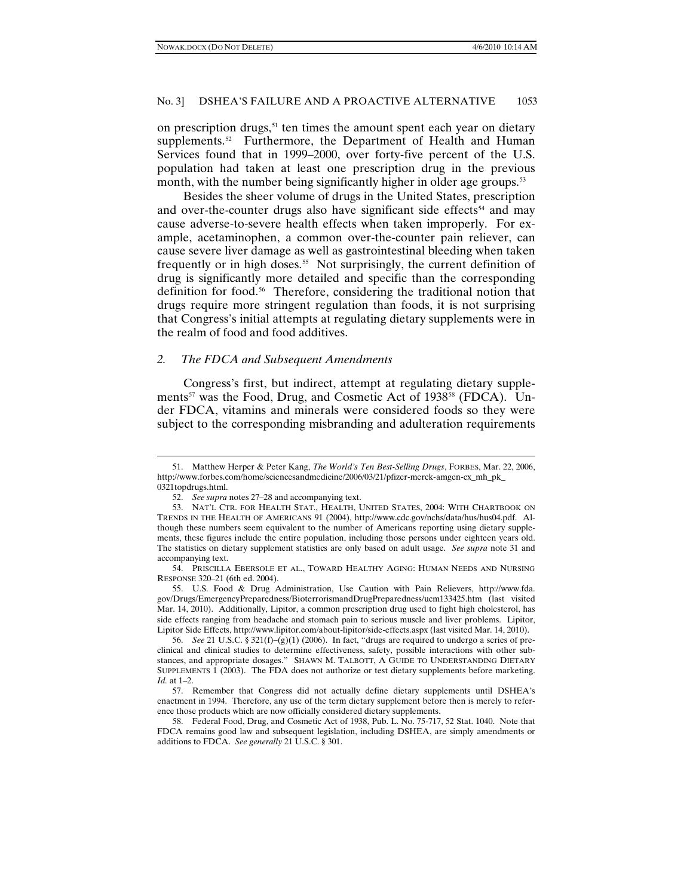on prescription drugs,  $51$  ten times the amount spent each year on dietary supplements.<sup>52</sup> Furthermore, the Department of Health and Human Services found that in 1999–2000, over forty-five percent of the U.S. population had taken at least one prescription drug in the previous month, with the number being significantly higher in older age groups.<sup>[53](#page-8-2)</sup>

Besides the sheer volume of drugs in the United States, prescription and over-the-counter drugs also have significant side effects<sup>[54](#page-8-3)</sup> and may cause adverse-to-severe health effects when taken improperly. For example, acetaminophen, a common over-the-counter pain reliever, can cause severe liver damage as well as gastrointestinal bleeding when taken frequently or in high doses.<sup>55</sup> Not surprisingly, the current definition of drug is significantly more detailed and specific than the corresponding definition for food.[56](#page-8-5) Therefore, considering the traditional notion that drugs require more stringent regulation than foods, it is not surprising that Congress's initial attempts at regulating dietary supplements were in the realm of food and food additives.

#### *2. The FDCA and Subsequent Amendments*

Congress's first, but indirect, attempt at regulating dietary supple-ments<sup>[57](#page-8-6)</sup> was the Food, Drug, and Cosmetic Act of 1938<sup>[58](#page-8-7)</sup> (FDCA). Under FDCA, vitamins and minerals were considered foods so they were subject to the corresponding misbranding and adulteration requirements

<span id="page-8-0"></span><sup>51.</sup> Matthew Herper & Peter Kang, *The World's Ten Best-Selling Drugs*, FORBES, Mar. 22, 2006, http://www.forbes.com/home/sciencesandmedicine/2006/03/21/pfizer-merck-amgen-cx\_mh\_pk\_ 0321topdrugs.html.

<sup>52.</sup> *See supra* notes 27–28 and accompanying text.

<span id="page-8-2"></span><span id="page-8-1"></span><sup>53.</sup> NAT'L CTR. FOR HEALTH STAT., HEALTH, UNITED STATES, 2004: WITH CHARTBOOK ON TRENDS IN THE HEALTH OF AMERICANS 91 (2004), http://www.cdc.gov/nchs/data/hus/hus04.pdf. Although these numbers seem equivalent to the number of Americans reporting using dietary supplements, these figures include the entire population, including those persons under eighteen years old. The statistics on dietary supplement statistics are only based on adult usage. *See supra* note 31 and accompanying text.

<span id="page-8-3"></span><sup>54.</sup> PRISCILLA EBERSOLE ET AL., TOWARD HEALTHY AGING: HUMAN NEEDS AND NURSING RESPONSE 320–21 (6th ed. 2004).

<span id="page-8-4"></span><sup>55.</sup> U.S. Food & Drug Administration, Use Caution with Pain Relievers, http://www.fda. gov/Drugs/EmergencyPreparedness/BioterrorismandDrugPreparedness/ucm133425.htm (last visited Mar. 14, 2010). Additionally, Lipitor, a common prescription drug used to fight high cholesterol, has side effects ranging from headache and stomach pain to serious muscle and liver problems. Lipitor, Lipitor Side Effects, http://www.lipitor.com/about-lipitor/side-effects.aspx (last visited Mar. 14, 2010).

<span id="page-8-5"></span><sup>56.</sup> *See* 21 U.S.C. § 321(f)–(g)(1) (2006). In fact, "drugs are required to undergo a series of preclinical and clinical studies to determine effectiveness, safety, possible interactions with other substances, and appropriate dosages." SHAWN M. TALBOTT, A GUIDE TO UNDERSTANDING DIETARY SUPPLEMENTS 1 (2003). The FDA does not authorize or test dietary supplements before marketing. *Id.* at 1–2.

<span id="page-8-6"></span><sup>57.</sup> Remember that Congress did not actually define dietary supplements until DSHEA's enactment in 1994. Therefore, any use of the term dietary supplement before then is merely to reference those products which are now officially considered dietary supplements.

<span id="page-8-7"></span><sup>58.</sup> Federal Food, Drug, and Cosmetic Act of 1938, Pub. L. No. 75-717, 52 Stat. 1040. Note that FDCA remains good law and subsequent legislation, including DSHEA, are simply amendments or additions to FDCA. *See generally* 21 U.S.C. § 301.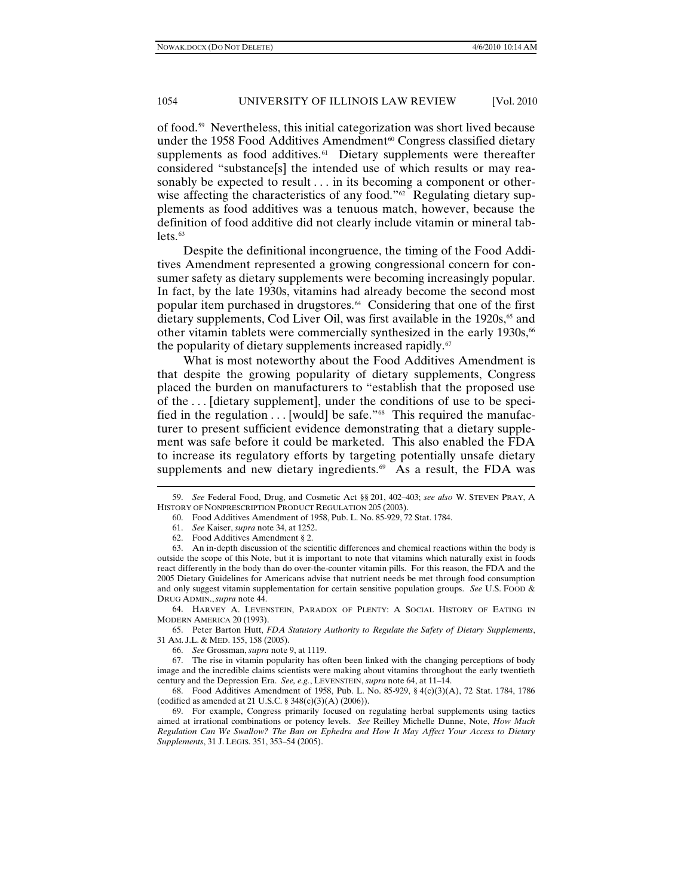of food.[59](#page-9-0) Nevertheless, this initial categorization was short lived because under the 1958 Food Additives Amendment<sup>[60](#page-9-1)</sup> Congress classified dietary supplements as food additives. $61$  Dietary supplements were thereafter considered "substance[s] the intended use of which results or may reasonably be expected to result . . . in its becoming a component or otherwise affecting the characteristics of any food." $62$  Regulating dietary supplements as food additives was a tenuous match, however, because the definition of food additive did not clearly include vitamin or mineral tab- $lets.<sup>63</sup>$  $lets.<sup>63</sup>$  $lets.<sup>63</sup>$ 

Despite the definitional incongruence, the timing of the Food Additives Amendment represented a growing congressional concern for consumer safety as dietary supplements were becoming increasingly popular. In fact, by the late 1930s, vitamins had already become the second most popular item purchased in drugstores.<sup>[64](#page-9-5)</sup> Considering that one of the first dietary supplements, Cod Liver Oil, was first available in the 1920s, [65](#page-9-6) and other vitamin tablets were commercially synthesized in the early 1930s, [66](#page-9-7) the popularity of dietary supplements increased rapidly.<sup>[67](#page-9-8)</sup>

What is most noteworthy about the Food Additives Amendment is that despite the growing popularity of dietary supplements, Congress placed the burden on manufacturers to "establish that the proposed use of the . . . [dietary supplement], under the conditions of use to be specified in the regulation  $\dots$  [would] be safe."<sup>68</sup> This required the manufacturer to present sufficient evidence demonstrating that a dietary supplement was safe before it could be marketed. This also enabled the FDA to increase its regulatory efforts by targeting potentially unsafe dietary supplements and new dietary ingredients. $69$  As a result, the FDA was

62. Food Additives Amendment § 2.

-

64. HARVEY A. LEVENSTEIN, PARADOX OF PLENTY: A SOCIAL HISTORY OF EATING IN MODERN AMERICA 20 (1993).

<span id="page-9-7"></span><span id="page-9-6"></span><span id="page-9-5"></span>65. Peter Barton Hutt, *FDA Statutory Authority to Regulate the Safety of Dietary Supplements*, 31 AM. J.L. & MED. 155, 158 (2005).

66. *See* Grossman, *supra* note 9, at 1119.

<span id="page-9-8"></span>67. The rise in vitamin popularity has often been linked with the changing perceptions of body image and the incredible claims scientists were making about vitamins throughout the early twentieth century and the Depression Era. *See, e.g.*, LEVENSTEIN, *supra* note 64, at 11–14.

<span id="page-9-9"></span>68. Food Additives Amendment of 1958, Pub. L. No. 85-929, § 4(c)(3)(A), 72 Stat. 1784, 1786 (codified as amended at 21 U.S.C. § 348(c)(3)(A) (2006)).

<span id="page-9-10"></span>69. For example, Congress primarily focused on regulating herbal supplements using tactics aimed at irrational combinations or potency levels. *See* Reilley Michelle Dunne, Note, *How Much Regulation Can We Swallow? The Ban on Ephedra and How It May Affect Your Access to Dietary Supplements*, 31 J. LEGIS. 351, 353–54 (2005).

<span id="page-9-1"></span><span id="page-9-0"></span><sup>59.</sup> *See* Federal Food, Drug, and Cosmetic Act §§ 201, 402–403; *see also* W. STEVEN PRAY, A HISTORY OF NONPRESCRIPTION PRODUCT REGULATION 205 (2003).

<sup>60.</sup> Food Additives Amendment of 1958, Pub. L. No. 85-929, 72 Stat. 1784.

<sup>61.</sup> *See* Kaiser, *supra* note 34, at 1252.

<span id="page-9-4"></span><span id="page-9-3"></span><span id="page-9-2"></span><sup>63.</sup> An in-depth discussion of the scientific differences and chemical reactions within the body is outside the scope of this Note, but it is important to note that vitamins which naturally exist in foods react differently in the body than do over-the-counter vitamin pills. For this reason, the FDA and the 2005 Dietary Guidelines for Americans advise that nutrient needs be met through food consumption and only suggest vitamin supplementation for certain sensitive population groups. *See* U.S. FOOD & DRUG ADMIN.,*supra* note 44.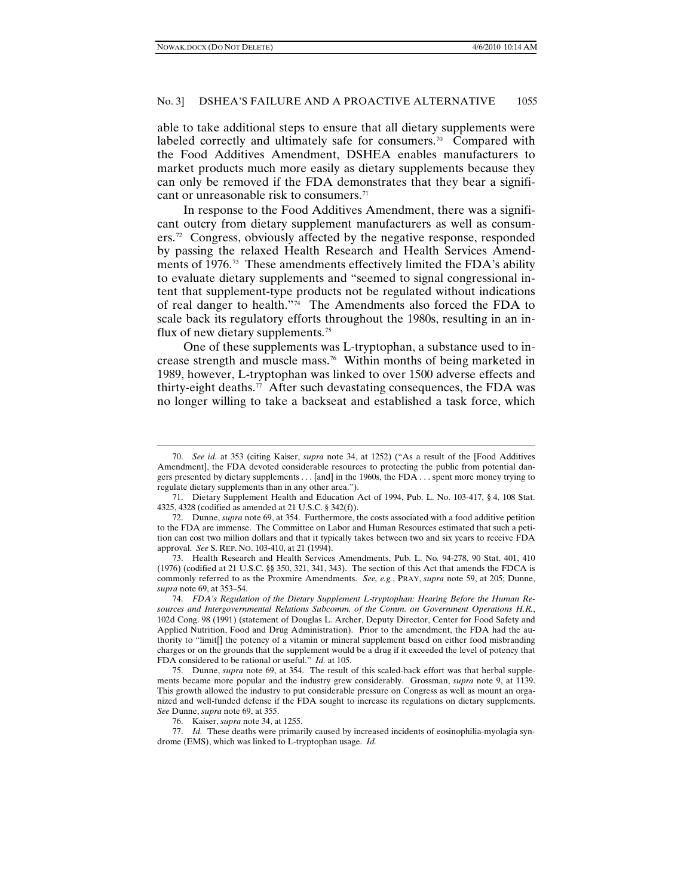able to take additional steps to ensure that all dietary supplements were labeled correctly and ultimately safe for consumers.<sup>[70](#page-10-0)</sup> Compared with the Food Additives Amendment, DSHEA enables manufacturers to market products much more easily as dietary supplements because they can only be removed if the FDA demonstrates that they bear a signifi-cant or unreasonable risk to consumers.<sup>[71](#page-10-1)</sup>

In response to the Food Additives Amendment, there was a significant outcry from dietary supplement manufacturers as well as consum-ers.<sup>[72](#page-10-2)</sup> Congress, obviously affected by the negative response, responded by passing the relaxed Health Research and Health Services Amendments of 1976.[73](#page-10-3) These amendments effectively limited the FDA's ability to evaluate dietary supplements and "seemed to signal congressional intent that supplement-type products not be regulated without indications of real danger to health."[74](#page-10-4) The Amendments also forced the FDA to scale back its regulatory efforts throughout the 1980s, resulting in an in-flux of new dietary supplements.<sup>[75](#page-10-5)</sup>

One of these supplements was L-tryptophan, a substance used to increase strength and muscle mass.[76](#page-10-6) Within months of being marketed in 1989, however, L-tryptophan was linked to over 1500 adverse effects and thirty-eight deaths.[77](#page-10-7) After such devastating consequences, the FDA was no longer willing to take a backseat and established a task force, which

<span id="page-10-3"></span>73. Health Research and Health Services Amendments, Pub. L. No*.* 94-278, 90 Stat. 401, 410 (1976) (codified at 21 U.S.C. §§ 350, 321, 341, 343). The section of this Act that amends the FDCA is commonly referred to as the Proxmire Amendments. *See, e.g.*, PRAY, *supra* note 59, at 205; Dunne, *supra* note 69, at 353–54.

<span id="page-10-0"></span><sup>70.</sup> *See id.* at 353 (citing Kaiser, *supra* note 34, at 1252) ("As a result of the [Food Additives Amendment], the FDA devoted considerable resources to protecting the public from potential dangers presented by dietary supplements . . . [and] in the 1960s, the FDA . . . spent more money trying to regulate dietary supplements than in any other area.").

<span id="page-10-1"></span><sup>71.</sup> Dietary Supplement Health and Education Act of 1994, Pub. L. No. 103-417, § 4, 108 Stat. 4325, 4328 (codified as amended at 21 U.S.C. § 342(f)).

<span id="page-10-2"></span><sup>72.</sup> Dunne, *supra* note 69, at 354. Furthermore, the costs associated with a food additive petition to the FDA are immense. The Committee on Labor and Human Resources estimated that such a petition can cost two million dollars and that it typically takes between two and six years to receive FDA approval. *See* S. REP. NO. 103-410, at 21 (1994).

<span id="page-10-4"></span><sup>74.</sup> *FDA's Regulation of the Dietary Supplement L-tryptophan: Hearing Before the Human Resources and Intergovernmental Relations Subcomm. of the Comm. on Government Operations H.R.*, 102d Cong. 98 (1991) (statement of Douglas L. Archer, Deputy Director, Center for Food Safety and Applied Nutrition, Food and Drug Administration). Prior to the amendment, the FDA had the authority to "limit[] the potency of a vitamin or mineral supplement based on either food misbranding charges or on the grounds that the supplement would be a drug if it exceeded the level of potency that FDA considered to be rational or useful." *Id.* at 105.

<span id="page-10-5"></span><sup>75.</sup> Dunne, *supra* note 69, at 354. The result of this scaled-back effort was that herbal supplements became more popular and the industry grew considerably. Grossman, *supra* note 9, at 1139. This growth allowed the industry to put considerable pressure on Congress as well as mount an organized and well-funded defense if the FDA sought to increase its regulations on dietary supplements. *See* Dunne, *supra* note 69, at 355.

<sup>76.</sup> Kaiser, *supra* note 34, at 1255.

<span id="page-10-7"></span><span id="page-10-6"></span><sup>77.</sup> *Id.* These deaths were primarily caused by increased incidents of eosinophilia-myolagia syndrome (EMS), which was linked to L-tryptophan usage. *Id.*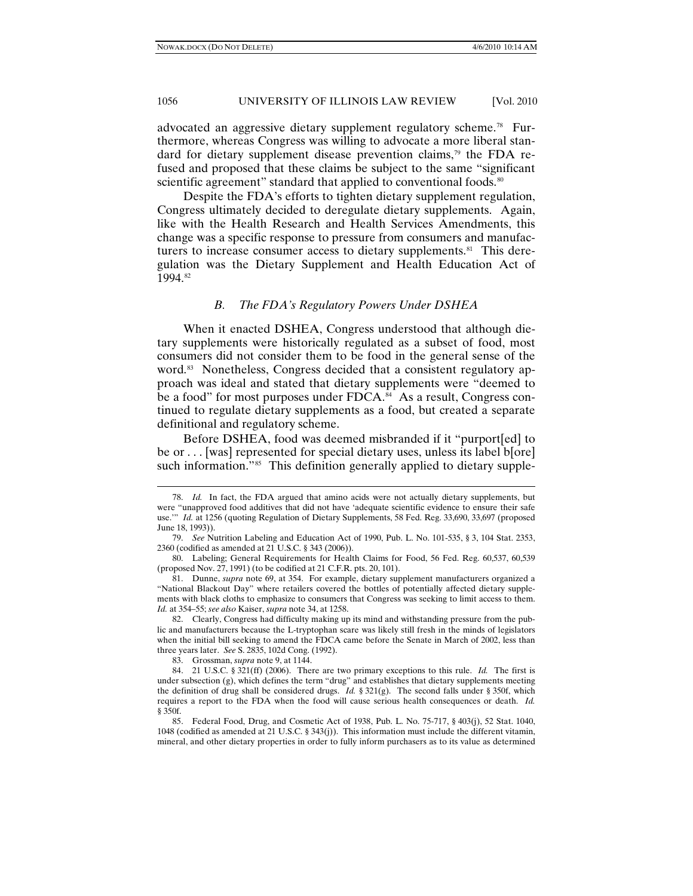advocated an aggressive dietary supplement regulatory scheme.[78](#page-11-0) Furthermore, whereas Congress was willing to advocate a more liberal stan-dard for dietary supplement disease prevention claims,<sup>[79](#page-11-1)</sup> the FDA refused and proposed that these claims be subject to the same "significant scientific agreement" standard that applied to conventional foods.<sup>[80](#page-11-2)</sup>

Despite the FDA's efforts to tighten dietary supplement regulation, Congress ultimately decided to deregulate dietary supplements. Again, like with the Health Research and Health Services Amendments, this change was a specific response to pressure from consumers and manufacturers to increase consumer access to dietary supplements. $81$  This deregulation was the Dietary Supplement and Health Education Act of 1994.[82](#page-11-4)

# *B. The FDA's Regulatory Powers Under DSHEA*

When it enacted DSHEA, Congress understood that although dietary supplements were historically regulated as a subset of food, most consumers did not consider them to be food in the general sense of the word.<sup>[83](#page-11-5)</sup> Nonetheless, Congress decided that a consistent regulatory approach was ideal and stated that dietary supplements were "deemed to be a food" for most purposes under FDCA.<sup>[84](#page-11-6)</sup> As a result, Congress continued to regulate dietary supplements as a food, but created a separate definitional and regulatory scheme.

Before DSHEA, food was deemed misbranded if it "purport[ed] to be or . . . [was] represented for special dietary uses, unless its label b[ore] such information."<sup>[85](#page-11-7)</sup> This definition generally applied to dietary supple-

<span id="page-11-4"></span>82. Clearly, Congress had difficulty making up its mind and withstanding pressure from the public and manufacturers because the L-tryptophan scare was likely still fresh in the minds of legislators when the initial bill seeking to amend the FDCA came before the Senate in March of 2002, less than three years later. *See* S. 2835, 102d Cong. (1992).

83. Grossman, *supra* note 9, at 1144.

<span id="page-11-0"></span><sup>78.</sup> *Id.* In fact, the FDA argued that amino acids were not actually dietary supplements, but were "unapproved food additives that did not have 'adequate scientific evidence to ensure their safe use." *Id.* at 1256 (quoting Regulation of Dietary Supplements, 58 Fed. Reg. 33,690, 33,697 (proposed June 18, 1993)).

<span id="page-11-1"></span><sup>79.</sup> *See* Nutrition Labeling and Education Act of 1990, Pub. L. No. 101-535, § 3, 104 Stat. 2353, 2360 (codified as amended at 21 U.S.C. § 343 (2006)).

<span id="page-11-2"></span><sup>80.</sup> Labeling; General Requirements for Health Claims for Food, 56 Fed. Reg. 60,537, 60,539 (proposed Nov. 27, 1991) (to be codified at 21 C.F.R. pts. 20, 101).

<span id="page-11-3"></span><sup>81.</sup> Dunne, *supra* note 69, at 354. For example, dietary supplement manufacturers organized a "National Blackout Day" where retailers covered the bottles of potentially affected dietary supplements with black cloths to emphasize to consumers that Congress was seeking to limit access to them. *Id.* at 354–55; *see also* Kaiser, *supra* note 34, at 1258.

<span id="page-11-6"></span><span id="page-11-5"></span><sup>84.</sup> 21 U.S.C. § 321(ff) (2006). There are two primary exceptions to this rule. *Id.* The first is under subsection (g), which defines the term "drug" and establishes that dietary supplements meeting the definition of drug shall be considered drugs. *Id.* § 321(g). The second falls under § 350f, which requires a report to the FDA when the food will cause serious health consequences or death. *Id.* § 350f.

<span id="page-11-7"></span><sup>85.</sup> Federal Food, Drug, and Cosmetic Act of 1938, Pub. L. No. 75-717, § 403(j), 52 Stat. 1040, 1048 (codified as amended at 21 U.S.C. § 343(j)). This information must include the different vitamin, mineral, and other dietary properties in order to fully inform purchasers as to its value as determined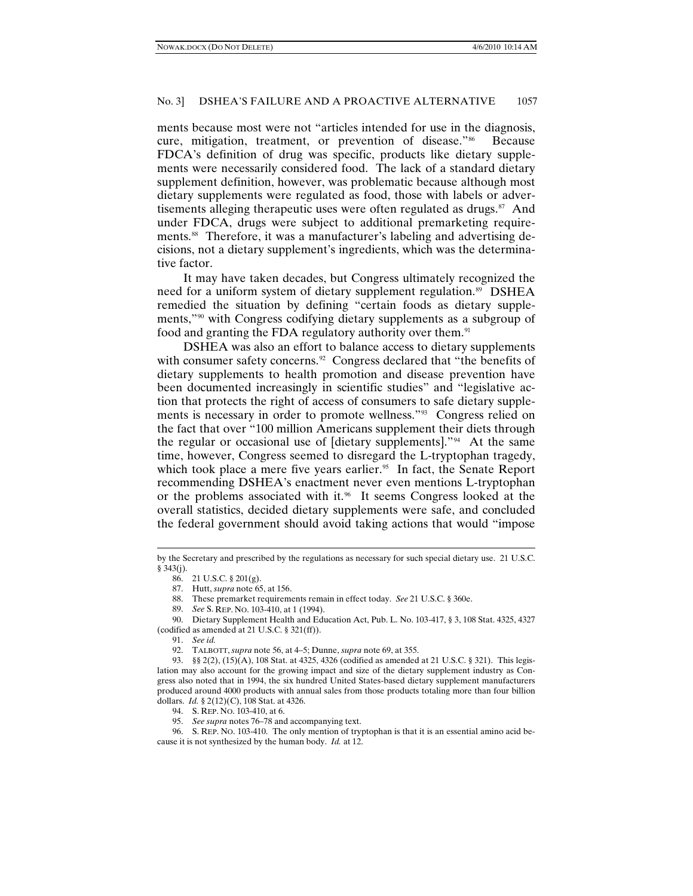ments because most were not "articles intended for use in the diagnosis, cure, mitigation, treatment, or prevention of disease."<sup>86</sup> Because FDCA's definition of drug was specific, products like dietary supplements were necessarily considered food. The lack of a standard dietary supplement definition, however, was problematic because although most dietary supplements were regulated as food, those with labels or advertisements alleging therapeutic uses were often regulated as drugs. $87$  And under FDCA, drugs were subject to additional premarketing require-ments.<sup>[88](#page-12-2)</sup> Therefore, it was a manufacturer's labeling and advertising decisions, not a dietary supplement's ingredients, which was the determinative factor.

It may have taken decades, but Congress ultimately recognized the need for a uniform system of dietary supplement regulation. [89](#page-12-3) DSHEA remedied the situation by defining "certain foods as dietary supplements,"[90](#page-12-4) with Congress codifying dietary supplements as a subgroup of food and granting the FDA regulatory authority over them.<sup>[91](#page-12-5)</sup>

DSHEA was also an effort to balance access to dietary supplements with consumer safety concerns.<sup>92</sup> Congress declared that "the benefits of dietary supplements to health promotion and disease prevention have been documented increasingly in scientific studies" and "legislative action that protects the right of access of consumers to safe dietary supplements is necessary in order to promote wellness."[93](#page-12-7) Congress relied on the fact that over "100 million Americans supplement their diets through the regular or occasional use of [dietary supplements]."[94](#page-12-8) At the same time, however, Congress seemed to disregard the L-tryptophan tragedy, which took place a mere five years earlier.<sup>95</sup> In fact, the Senate Report recommending DSHEA's enactment never even mentions L-tryptophan or the problems associated with it.<sup>[96](#page-12-10)</sup> It seems Congress looked at the overall statistics, decided dietary supplements were safe, and concluded the federal government should avoid taking actions that would "impose

89. *See* S. REP. NO. 103-410, at 1 (1994).

<span id="page-12-4"></span><span id="page-12-3"></span><span id="page-12-2"></span>90. Dietary Supplement Health and Education Act, Pub. L. No. 103-417, § 3, 108 Stat. 4325, 4327 (codified as amended at 21 U.S.C. § 321(ff)).

<span id="page-12-1"></span><span id="page-12-0"></span>by the Secretary and prescribed by the regulations as necessary for such special dietary use. 21 U.S.C. § 343(j).

<sup>86.</sup> 21 U.S.C. § 201(g).

<sup>87.</sup> Hutt, *supra* note 65, at 156.

<sup>88.</sup> These premarket requirements remain in effect today. *See* 21 U.S.C. § 360e.

<sup>91.</sup> *See id.* 

<sup>92.</sup> TALBOTT, *supra* note 56, at 4–5; Dunne, *supra* note 69, at 355.

<span id="page-12-7"></span><span id="page-12-6"></span><span id="page-12-5"></span><sup>93.</sup> §§ 2(2), (15)(A), 108 Stat. at 4325, 4326 (codified as amended at 21 U.S.C. § 321). This legislation may also account for the growing impact and size of the dietary supplement industry as Congress also noted that in 1994, the six hundred United States-based dietary supplement manufacturers produced around 4000 products with annual sales from those products totaling more than four billion dollars. *Id.* § 2(12)(C), 108 Stat. at 4326.

<sup>94.</sup> S. REP. NO. 103-410, at 6.

<sup>95.</sup> *See supra* notes 76–78 and accompanying text.

<span id="page-12-10"></span><span id="page-12-9"></span><span id="page-12-8"></span><sup>96.</sup> S. REP. NO. 103-410. The only mention of tryptophan is that it is an essential amino acid because it is not synthesized by the human body. *Id.* at 12.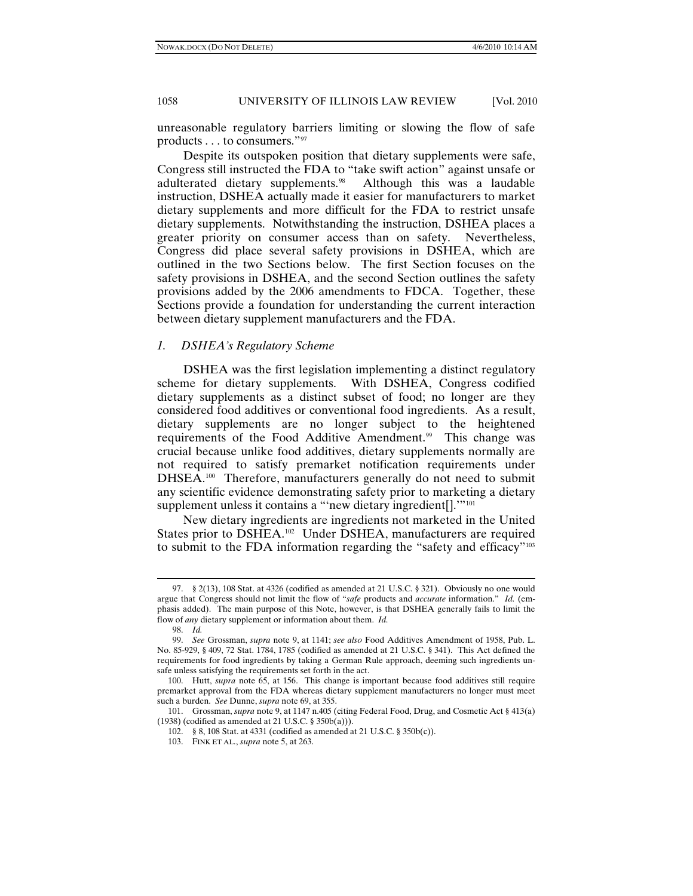unreasonable regulatory barriers limiting or slowing the flow of safe products . . . to consumers."[97](#page-13-0)

Despite its outspoken position that dietary supplements were safe, Congress still instructed the FDA to "take swift action" against unsafe or adulterated dietary supplements.<sup>[98](#page-13-1)</sup> Although this was a laudable instruction, DSHEA actually made it easier for manufacturers to market dietary supplements and more difficult for the FDA to restrict unsafe dietary supplements. Notwithstanding the instruction, DSHEA places a greater priority on consumer access than on safety. Nevertheless, Congress did place several safety provisions in DSHEA, which are outlined in the two Sections below. The first Section focuses on the safety provisions in DSHEA, and the second Section outlines the safety provisions added by the 2006 amendments to FDCA. Together, these Sections provide a foundation for understanding the current interaction between dietary supplement manufacturers and the FDA.

### *1. DSHEA's Regulatory Scheme*

DSHEA was the first legislation implementing a distinct regulatory scheme for dietary supplements. With DSHEA, Congress codified dietary supplements as a distinct subset of food; no longer are they considered food additives or conventional food ingredients. As a result, dietary supplements are no longer subject to the heightened requirements of the Food Additive Amendment[.99](#page-13-2) This change was crucial because unlike food additives, dietary supplements normally are not required to satisfy premarket notification requirements under DHSEA.[100](#page-13-3) Therefore, manufacturers generally do not need to submit any scientific evidence demonstrating safety prior to marketing a dietary supplement unless it contains a "new dietary ingredient[]."<sup>[101](#page-13-4)</sup>

New dietary ingredients are ingredients not marketed in the United States prior to DSHEA.<sup>[102](#page-13-5)</sup> Under DSHEA, manufacturers are required to submit to the FDA information regarding the "safety and efficacy"[103](#page-13-6)

<span id="page-13-0"></span><sup>97.</sup> § 2(13), 108 Stat. at 4326 (codified as amended at 21 U.S.C. § 321). Obviously no one would argue that Congress should not limit the flow of "*safe* products and *accurate* information." *Id.* (emphasis added). The main purpose of this Note, however, is that DSHEA generally fails to limit the flow of *any* dietary supplement or information about them. *Id.*

<sup>98.</sup> *Id.* 

<span id="page-13-2"></span><span id="page-13-1"></span><sup>99.</sup> *See* Grossman, *supra* note 9, at 1141; *see also* Food Additives Amendment of 1958, Pub. L. No. 85-929, § 409, 72 Stat. 1784, 1785 (codified as amended at 21 U.S.C. § 341). This Act defined the requirements for food ingredients by taking a German Rule approach, deeming such ingredients unsafe unless satisfying the requirements set forth in the act.

<span id="page-13-3"></span><sup>100.</sup> Hutt, *supra* note 65, at 156. This change is important because food additives still require premarket approval from the FDA whereas dietary supplement manufacturers no longer must meet such a burden. *See* Dunne, *supra* note 69, at 355.

<span id="page-13-6"></span><span id="page-13-5"></span><span id="page-13-4"></span><sup>101.</sup> Grossman, *supra* note 9, at 1147 n.405 (citing Federal Food, Drug, and Cosmetic Act § 413(a) (1938) (codified as amended at 21 U.S.C. § 350b(a))).

<sup>102.</sup> § 8, 108 Stat. at 4331 (codified as amended at 21 U.S.C. § 350b(c)).

<sup>103.</sup> FINK ET AL., *supra* note 5, at 263.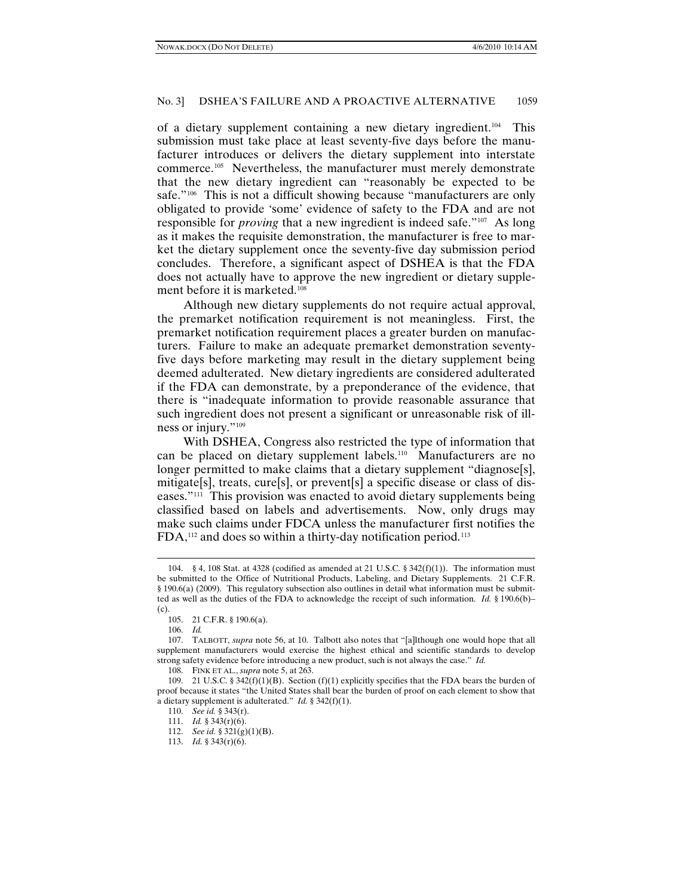of a dietary supplement containing a new dietary ingredient[.104](#page-14-0) This submission must take place at least seventy-five days before the manufacturer introduces or delivers the dietary supplement into interstate commerce.[105](#page-14-1) Nevertheless, the manufacturer must merely demonstrate that the new dietary ingredient can "reasonably be expected to be safe."<sup>106</sup> This is not a difficult showing because "manufacturers are only obligated to provide 'some' evidence of safety to the FDA and are not responsible for *proving* that a new ingredient is indeed safe."[107](#page-14-3) As long as it makes the requisite demonstration, the manufacturer is free to market the dietary supplement once the seventy-five day submission period concludes. Therefore, a significant aspect of DSHEA is that the FDA does not actually have to approve the new ingredient or dietary supple-ment before it is marketed.<sup>[108](#page-14-4)</sup>

Although new dietary supplements do not require actual approval, the premarket notification requirement is not meaningless. First, the premarket notification requirement places a greater burden on manufacturers. Failure to make an adequate premarket demonstration seventyfive days before marketing may result in the dietary supplement being deemed adulterated. New dietary ingredients are considered adulterated if the FDA can demonstrate, by a preponderance of the evidence, that there is "inadequate information to provide reasonable assurance that such ingredient does not present a significant or unreasonable risk of illness or injury."[109](#page-14-5)

With DSHEA, Congress also restricted the type of information that can be placed on dietary supplement labels.[110](#page-14-6) Manufacturers are no longer permitted to make claims that a dietary supplement "diagnose[s], mitigate[s], treats, cure[s], or prevent[s] a specific disease or class of diseases."[111](#page-14-7) This provision was enacted to avoid dietary supplements being classified based on labels and advertisements. Now, only drugs may make such claims under FDCA unless the manufacturer first notifies the  $FDA$ ,<sup>[112](#page-14-8)</sup> and does so within a thirty-day notification period.<sup>[113](#page-14-9)</sup>

<span id="page-14-0"></span><sup>104. § 4, 108</sup> Stat. at 4328 (codified as amended at 21 U.S.C. § 342(f)(1)). The information must be submitted to the Office of Nutritional Products, Labeling, and Dietary Supplements. 21 C.F.R. § 190.6(a) (2009). This regulatory subsection also outlines in detail what information must be submitted as well as the duties of the FDA to acknowledge the receipt of such information. *Id.* § 190.6(b)– (c).

<sup>105.</sup> 21 C.F.R. § 190.6(a).

<sup>106.</sup> *Id.* 

<span id="page-14-3"></span><span id="page-14-2"></span><span id="page-14-1"></span><sup>107.</sup> TALBOTT, *supra* note 56, at 10. Talbott also notes that "[a]lthough one would hope that all supplement manufacturers would exercise the highest ethical and scientific standards to develop strong safety evidence before introducing a new product, such is not always the case." *Id.*

<sup>108.</sup> FINK ET AL., *supra* note 5, at 263.

<span id="page-14-8"></span><span id="page-14-7"></span><span id="page-14-6"></span><span id="page-14-5"></span><span id="page-14-4"></span><sup>109. 21</sup> U.S.C. § 342(f)(1)(B). Section (f)(1) explicitly specifies that the FDA bears the burden of proof because it states "the United States shall bear the burden of proof on each element to show that a dietary supplement is adulterated." *Id.* § 342(f)(1).

<sup>110.</sup> *See id.* § 343(r).

<sup>111.</sup> *Id.* § 343(r)(6).

<sup>112.</sup> *See id.* § 321(g)(1)(B).

<span id="page-14-9"></span><sup>113.</sup> *Id.* § 343(r)(6).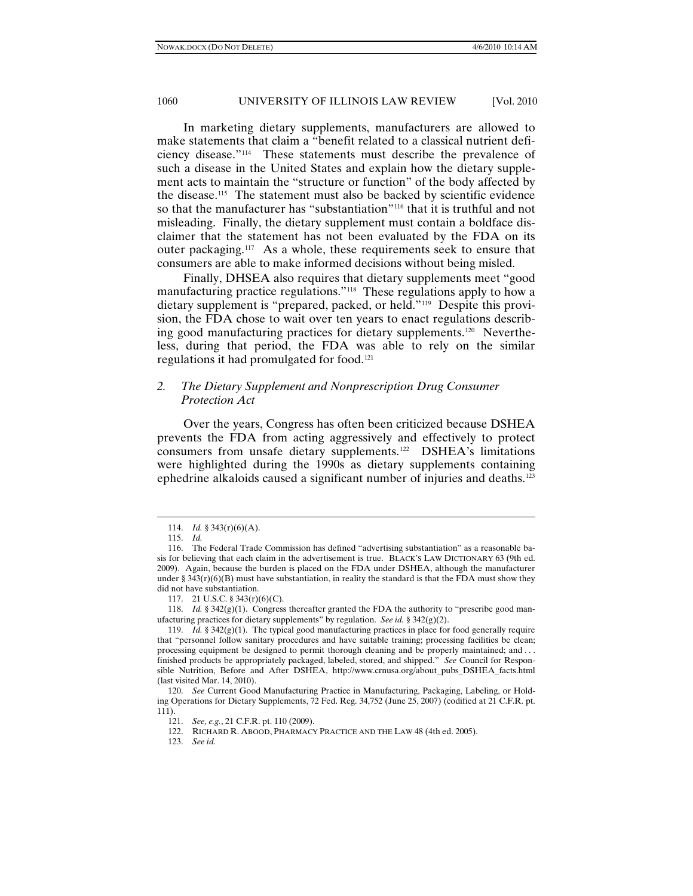In marketing dietary supplements, manufacturers are allowed to make statements that claim a "benefit related to a classical nutrient deficiency disease."[114](#page-15-0) These statements must describe the prevalence of such a disease in the United States and explain how the dietary supplement acts to maintain the "structure or function" of the body affected by the disease.[115](#page-15-1) The statement must also be backed by scientific evidence so that the manufacturer has "substantiation"<sup>116</sup> that it is truthful and not misleading. Finally, the dietary supplement must contain a boldface disclaimer that the statement has not been evaluated by the FDA on its outer packaging[.117](#page-15-3) As a whole, these requirements seek to ensure that consumers are able to make informed decisions without being misled.

Finally, DHSEA also requires that dietary supplements meet "good manufacturing practice regulations." [118](#page-15-4) These regulations apply to how a dietary supplement is "prepared, packed, or held."[119](#page-15-5) Despite this provision, the FDA chose to wait over ten years to enact regulations describing good manufacturing practices for dietary supplements.[120](#page-15-6) Nevertheless, during that period, the FDA was able to rely on the similar regulations it had promulgated for food.[121](#page-15-7)

# *2. The Dietary Supplement and Nonprescription Drug Consumer Protection Act*

Over the years, Congress has often been criticized because DSHEA prevents the FDA from acting aggressively and effectively to protect consumers from unsafe dietary supplements.[122](#page-15-8) DSHEA's limitations were highlighted during the 1990s as dietary supplements containing ephedrine alkaloids caused a significant number of injuries and deaths.<sup>[123](#page-15-9)</sup>

<sup>114.</sup> *Id.* § 343(r)(6)(A).

<sup>115.</sup> *Id.* 

<span id="page-15-2"></span><span id="page-15-1"></span><span id="page-15-0"></span><sup>116.</sup> The Federal Trade Commission has defined "advertising substantiation" as a reasonable basis for believing that each claim in the advertisement is true. BLACK'S LAW DICTIONARY 63 (9th ed. 2009). Again, because the burden is placed on the FDA under DSHEA, although the manufacturer under § 343 $(r)(6)(B)$  must have substantiation, in reality the standard is that the FDA must show they did not have substantiation.

<sup>117.</sup> 21 U.S.C. § 343(r)(6)(C).

<span id="page-15-4"></span><span id="page-15-3"></span><sup>118.</sup> *Id.* § 342 $(g)(1)$ . Congress thereafter granted the FDA the authority to "prescribe good manufacturing practices for dietary supplements" by regulation. *See id.* § 342(g)(2).

<span id="page-15-5"></span><sup>119.</sup> *Id.* § 342(g)(1). The typical good manufacturing practices in place for food generally require that "personnel follow sanitary procedures and have suitable training; processing facilities be clean; processing equipment be designed to permit thorough cleaning and be properly maintained; and . . . finished products be appropriately packaged, labeled, stored, and shipped." *See* Council for Responsible Nutrition, Before and After DSHEA, http://www.crnusa.org/about\_pubs\_DSHEA\_facts.html (last visited Mar. 14, 2010).

<span id="page-15-9"></span><span id="page-15-8"></span><span id="page-15-7"></span><span id="page-15-6"></span><sup>120.</sup> *See* Current Good Manufacturing Practice in Manufacturing, Packaging, Labeling, or Holding Operations for Dietary Supplements, 72 Fed. Reg. 34,752 (June 25, 2007) (codified at 21 C.F.R. pt. 111).

<sup>121.</sup> *See, e.g.*, 21 C.F.R. pt. 110 (2009).

<sup>122.</sup> RICHARD R. ABOOD, PHARMACY PRACTICE AND THE LAW 48 (4th ed. 2005).

<sup>123.</sup> *See id.*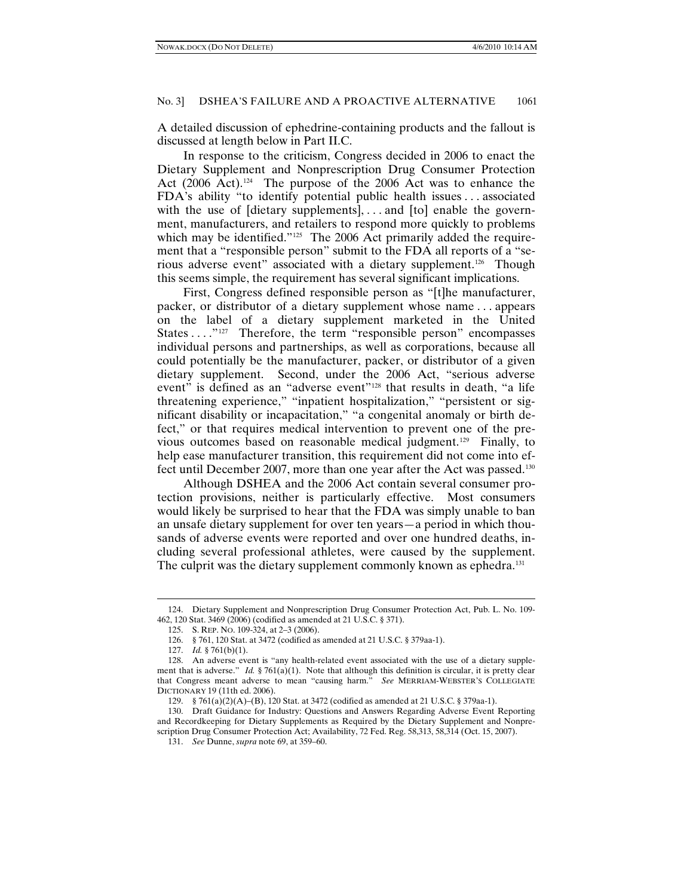A detailed discussion of ephedrine-containing products and the fallout is discussed at length below in Part II.C.

In response to the criticism, Congress decided in 2006 to enact the Dietary Supplement and Nonprescription Drug Consumer Protection Act (2006 Act).<sup>[124](#page-16-0)</sup> The purpose of the 2006 Act was to enhance the FDA's ability "to identify potential public health issues . . . associated with the use of [dietary supplements], ... and [to] enable the government, manufacturers, and retailers to respond more quickly to problems which may be identified."<sup>[125](#page-16-1)</sup> The 2006 Act primarily added the requirement that a "responsible person" submit to the FDA all reports of a "serious adverse event" associated with a dietary supplement.[126](#page-16-2) Though this seems simple, the requirement has several significant implications.

First, Congress defined responsible person as "[t]he manufacturer, packer, or distributor of a dietary supplement whose name . . . appears on the label of a dietary supplement marketed in the United States . . . . "<sup>[127](#page-16-3)</sup> Therefore, the term "responsible person" encompasses individual persons and partnerships, as well as corporations, because all could potentially be the manufacturer, packer, or distributor of a given dietary supplement. Second, under the 2006 Act, "serious adverse event" is defined as an "adverse event"<sup>128</sup> that results in death, "a life threatening experience," "inpatient hospitalization," "persistent or significant disability or incapacitation," "a congenital anomaly or birth defect," or that requires medical intervention to prevent one of the previous outcomes based on reasonable medical judgment.[129](#page-16-5) Finally, to help ease manufacturer transition, this requirement did not come into effect until December 2007, more than one year after the Act was passed[.130](#page-16-6)

Although DSHEA and the 2006 Act contain several consumer protection provisions, neither is particularly effective. Most consumers would likely be surprised to hear that the FDA was simply unable to ban an unsafe dietary supplement for over ten years—a period in which thousands of adverse events were reported and over one hundred deaths, including several professional athletes, were caused by the supplement. The culprit was the dietary supplement commonly known as ephedra.<sup>[131](#page-16-7)</sup>

<span id="page-16-1"></span><span id="page-16-0"></span><sup>124.</sup> Dietary Supplement and Nonprescription Drug Consumer Protection Act, Pub. L. No. 109- 462, 120 Stat. 3469 (2006) (codified as amended at 21 U.S.C. § 371).

<sup>125.</sup> S. REP. NO. 109-324, at 2–3 (2006).

<sup>126.</sup> § 761, 120 Stat. at 3472 (codified as amended at 21 U.S.C. § 379aa-1).

<sup>127.</sup> *Id.* § 761(b)(1).

<span id="page-16-4"></span><span id="page-16-3"></span><span id="page-16-2"></span><sup>128.</sup> An adverse event is "any health-related event associated with the use of a dietary supplement that is adverse." *Id.* § 761(a)(1). Note that although this definition is circular, it is pretty clear that Congress meant adverse to mean "causing harm." *See* MERRIAM-WEBSTER'S COLLEGIATE DICTIONARY 19 (11th ed. 2006).

<sup>129.</sup> § 761(a)(2)(A)–(B), 120 Stat. at 3472 (codified as amended at 21 U.S.C. § 379aa-1).

<span id="page-16-7"></span><span id="page-16-6"></span><span id="page-16-5"></span><sup>130.</sup> Draft Guidance for Industry: Questions and Answers Regarding Adverse Event Reporting and Recordkeeping for Dietary Supplements as Required by the Dietary Supplement and Nonprescription Drug Consumer Protection Act; Availability, 72 Fed. Reg. 58,313, 58,314 (Oct. 15, 2007).

<sup>131.</sup> *See* Dunne, *supra* note 69, at 359–60.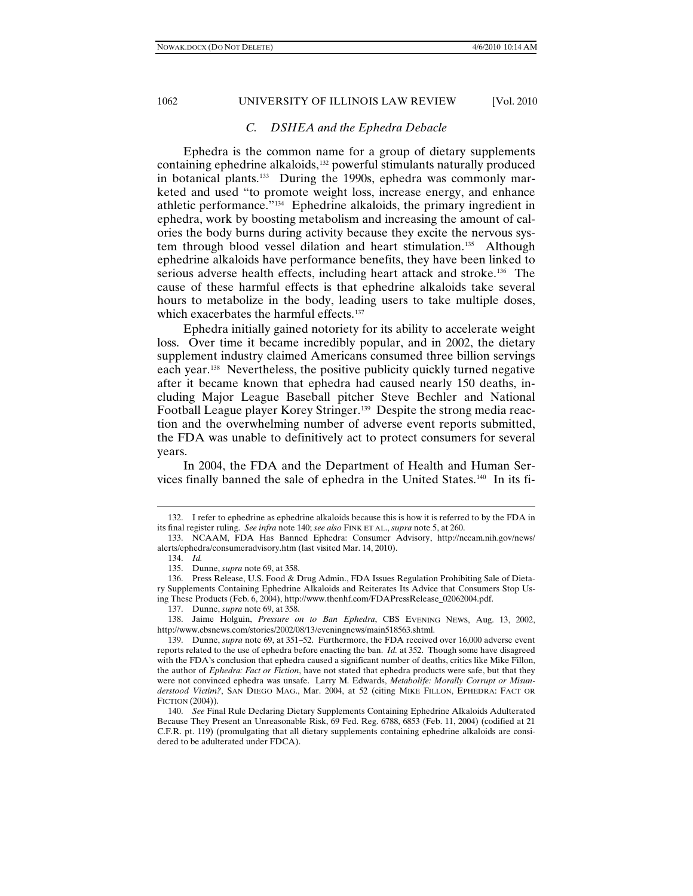### *C. DSHEA and the Ephedra Debacle*

Ephedra is the common name for a group of dietary supplements containing ephedrine alkaloids,<sup>[132](#page-17-0)</sup> powerful stimulants naturally produced in botanical plants[.133](#page-17-1) During the 1990s, ephedra was commonly marketed and used "to promote weight loss, increase energy, and enhance athletic performance."[134](#page-17-2) Ephedrine alkaloids, the primary ingredient in ephedra, work by boosting metabolism and increasing the amount of calories the body burns during activity because they excite the nervous sys-tem through blood vessel dilation and heart stimulation.<sup>[135](#page-17-3)</sup> Although ephedrine alkaloids have performance benefits, they have been linked to serious adverse health effects, including heart attack and stroke.<sup>[136](#page-17-4)</sup> The cause of these harmful effects is that ephedrine alkaloids take several hours to metabolize in the body, leading users to take multiple doses, which exacerbates the harmful effects.<sup>[137](#page-17-5)</sup>

Ephedra initially gained notoriety for its ability to accelerate weight loss. Over time it became incredibly popular, and in 2002, the dietary supplement industry claimed Americans consumed three billion servings each year. [138](#page-17-6) Nevertheless, the positive publicity quickly turned negative after it became known that ephedra had caused nearly 150 deaths, including Major League Baseball pitcher Steve Bechler and National Football League player Korey Stringer.<sup>[139](#page-17-7)</sup> Despite the strong media reaction and the overwhelming number of adverse event reports submitted, the FDA was unable to definitively act to protect consumers for several years.

In 2004, the FDA and the Department of Health and Human Ser-vices finally banned the sale of ephedra in the United States.<sup>[140](#page-17-8)</sup> In its fi-

-

<span id="page-17-6"></span><span id="page-17-5"></span>138. Jaime Holguin, *Pressure on to Ban Ephedra*, CBS EVENING NEWS, Aug. 13, 2002, http://www.cbsnews.com/stories/2002/08/13/eveningnews/main518563.shtml.

<span id="page-17-0"></span><sup>132.</sup> I refer to ephedrine as ephedrine alkaloids because this is how it is referred to by the FDA in its final register ruling. *See infra* note 140; *see also* FINK ET AL., *supra* note 5, at 260.

<span id="page-17-2"></span><span id="page-17-1"></span><sup>133.</sup> NCAAM, FDA Has Banned Ephedra: Consumer Advisory, http://nccam.nih.gov/news/ alerts/ephedra/consumeradvisory.htm (last visited Mar. 14, 2010).

<sup>134.</sup> *Id.*

<sup>135.</sup> Dunne, *supra* note 69, at 358.

<span id="page-17-4"></span><span id="page-17-3"></span><sup>136.</sup> Press Release, U.S. Food & Drug Admin., FDA Issues Regulation Prohibiting Sale of Dietary Supplements Containing Ephedrine Alkaloids and Reiterates Its Advice that Consumers Stop Using These Products (Feb. 6, 2004), http://www.thenhf.com/FDAPressRelease\_02062004.pdf.

<sup>137.</sup> Dunne, *supra* note 69, at 358.

<span id="page-17-7"></span><sup>139.</sup> Dunne, *supra* note 69, at 351–52. Furthermore, the FDA received over 16,000 adverse event reports related to the use of ephedra before enacting the ban. *Id.* at 352. Though some have disagreed with the FDA's conclusion that ephedra caused a significant number of deaths, critics like Mike Fillon, the author of *Ephedra: Fact or Fiction*, have not stated that ephedra products were safe, but that they were not convinced ephedra was unsafe. Larry M. Edwards, *Metabolife: Morally Corrupt or Misunderstood Victim?*, SAN DIEGO MAG., Mar. 2004, at 52 (citing MIKE FILLON, EPHEDRA: FACT OR FICTION (2004)).

<span id="page-17-8"></span><sup>140.</sup> *See* Final Rule Declaring Dietary Supplements Containing Ephedrine Alkaloids Adulterated Because They Present an Unreasonable Risk, 69 Fed. Reg. 6788, 6853 (Feb. 11, 2004) (codified at 21 C.F.R. pt. 119) (promulgating that all dietary supplements containing ephedrine alkaloids are considered to be adulterated under FDCA).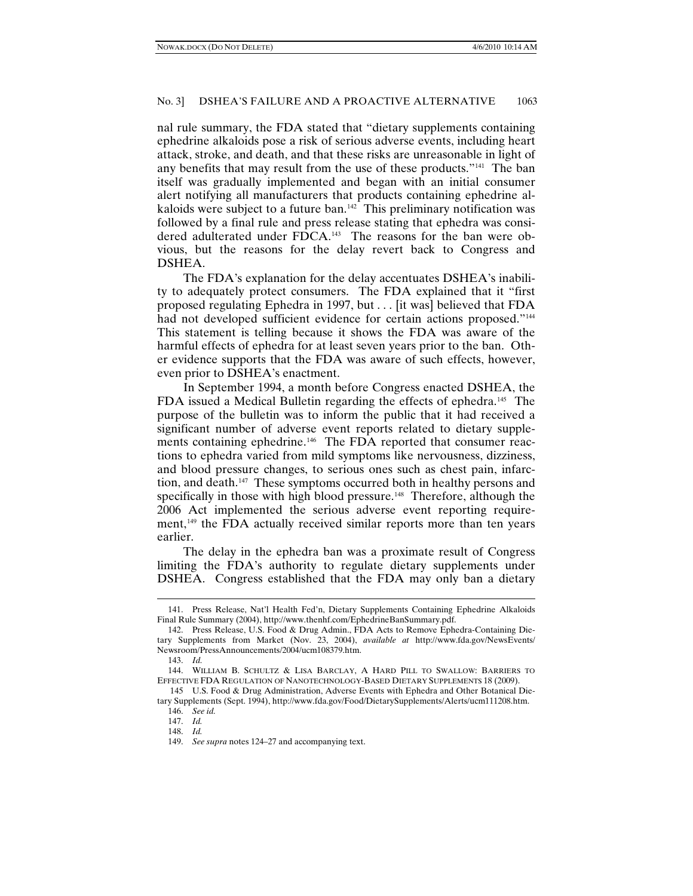nal rule summary, the FDA stated that "dietary supplements containing ephedrine alkaloids pose a risk of serious adverse events, including heart attack, stroke, and death, and that these risks are unreasonable in light of any benefits that may result from the use of these products."[141](#page-18-0) The ban itself was gradually implemented and began with an initial consumer alert notifying all manufacturers that products containing ephedrine al-kaloids were subject to a future ban.<sup>[142](#page-18-1)</sup> This preliminary notification was followed by a final rule and press release stating that ephedra was consi-dered adulterated under FDCA.<sup>[143](#page-18-2)</sup> The reasons for the ban were obvious, but the reasons for the delay revert back to Congress and DSHEA.

The FDA's explanation for the delay accentuates DSHEA's inability to adequately protect consumers. The FDA explained that it "first proposed regulating Ephedra in 1997, but . . . [it was] believed that FDA had not developed sufficient evidence for certain actions proposed."<sup>[144](#page-18-3)</sup> This statement is telling because it shows the FDA was aware of the harmful effects of ephedra for at least seven years prior to the ban. Other evidence supports that the FDA was aware of such effects, however, even prior to DSHEA's enactment.

In September 1994, a month before Congress enacted DSHEA, the FDA issued a Medical Bulletin regarding the effects of ephedra. [145](#page-18-4) The purpose of the bulletin was to inform the public that it had received a significant number of adverse event reports related to dietary supple-ments containing ephedrine.<sup>[146](#page-18-5)</sup> The FDA reported that consumer reactions to ephedra varied from mild symptoms like nervousness, dizziness, and blood pressure changes, to serious ones such as chest pain, infarction, and death.[147](#page-18-6) These symptoms occurred both in healthy persons and specifically in those with high blood pressure.<sup>[148](#page-18-7)</sup> Therefore, although the 2006 Act implemented the serious adverse event reporting require-ment,<sup>[149](#page-18-8)</sup> the FDA actually received similar reports more than ten years earlier.

The delay in the ephedra ban was a proximate result of Congress limiting the FDA's authority to regulate dietary supplements under DSHEA. Congress established that the FDA may only ban a dietary

<span id="page-18-0"></span><sup>141.</sup> Press Release, Nat'l Health Fed'n, Dietary Supplements Containing Ephedrine Alkaloids Final Rule Summary (2004), http://www.thenhf.com/EphedrineBanSummary.pdf.

<span id="page-18-1"></span><sup>142.</sup> Press Release, U.S. Food & Drug Admin., FDA Acts to Remove Ephedra-Containing Dietary Supplements from Market (Nov. 23, 2004), *available at* http://www.fda.gov/NewsEvents/ Newsroom/PressAnnouncements/2004/ucm108379.htm.

<sup>143.</sup> *Id.*

<span id="page-18-3"></span><span id="page-18-2"></span><sup>144.</sup> WILLIAM B. SCHULTZ & LISA BARCLAY, A HARD PILL TO SWALLOW: BARRIERS TO EFFECTIVE FDA REGULATION OF NANOTECHNOLOGY-BASED DIETARY SUPPLEMENTS 18 (2009).

<span id="page-18-8"></span><span id="page-18-7"></span><span id="page-18-6"></span><span id="page-18-5"></span><span id="page-18-4"></span><sup>145</sup> U.S. Food & Drug Administration, Adverse Events with Ephedra and Other Botanical Dietary Supplements (Sept. 1994), http://www.fda.gov/Food/DietarySupplements/Alerts/ucm111208.htm.

<sup>146.</sup> *See id.* 

<sup>147.</sup> *Id.*  148. *Id.*

<sup>149.</sup> *See supra* notes 124–27 and accompanying text.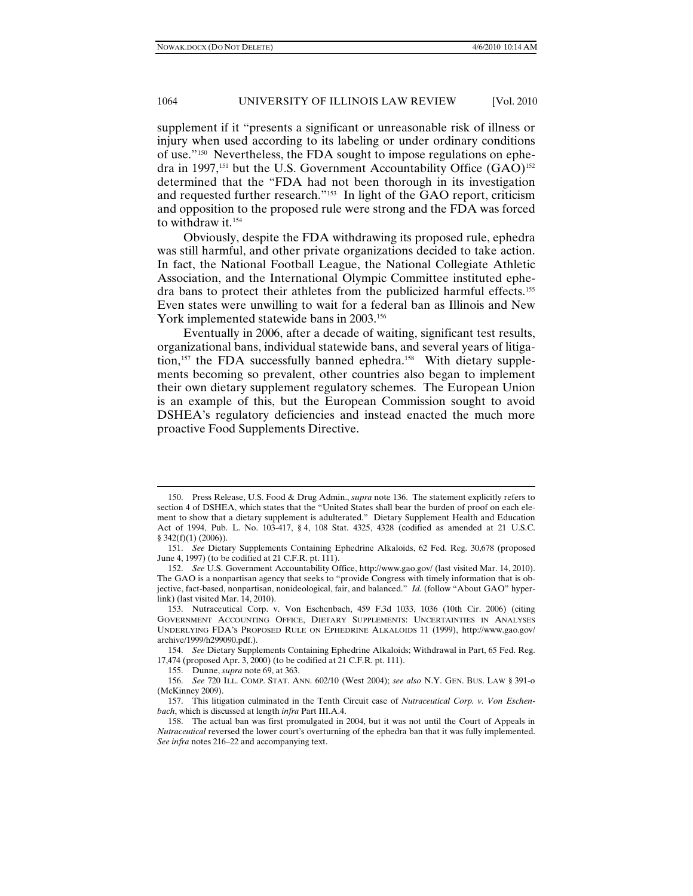supplement if it "presents a significant or unreasonable risk of illness or injury when used according to its labeling or under ordinary conditions of use."[150](#page-19-0) Nevertheless, the FDA sought to impose regulations on ephe-dra in 1997,<sup>[151](#page-19-1)</sup> but the U.S. Government Accountability Office  $(GAO)^{152}$  $(GAO)^{152}$  $(GAO)^{152}$ determined that the "FDA had not been thorough in its investigation and requested further research."[153](#page-19-3) In light of the GAO report, criticism and opposition to the proposed rule were strong and the FDA was forced to withdraw it.<sup>[154](#page-19-4)</sup>

Obviously, despite the FDA withdrawing its proposed rule, ephedra was still harmful, and other private organizations decided to take action. In fact, the National Football League, the National Collegiate Athletic Association, and the International Olympic Committee instituted ephedra bans to protect their athletes from the publicized harmful effects.<sup>155</sup> Even states were unwilling to wait for a federal ban as Illinois and New York implemented statewide bans in 2003.<sup>[156](#page-19-6)</sup>

Eventually in 2006, after a decade of waiting, significant test results, organizational bans, individual statewide bans, and several years of litiga-tion,<sup>[157](#page-19-7)</sup> the FDA successfully banned ephedra.<sup>[158](#page-19-8)</sup> With dietary supplements becoming so prevalent, other countries also began to implement their own dietary supplement regulatory schemes. The European Union is an example of this, but the European Commission sought to avoid DSHEA's regulatory deficiencies and instead enacted the much more proactive Food Supplements Directive.

<span id="page-19-0"></span><sup>150.</sup> Press Release, U.S. Food & Drug Admin., *supra* note 136. The statement explicitly refers to section 4 of DSHEA, which states that the "United States shall bear the burden of proof on each element to show that a dietary supplement is adulterated." Dietary Supplement Health and Education Act of 1994, Pub. L. No. 103-417, § 4, 108 Stat. 4325, 4328 (codified as amended at 21 U.S.C. § 342(f)(1) (2006)).

<span id="page-19-1"></span><sup>151.</sup> *See* Dietary Supplements Containing Ephedrine Alkaloids, 62 Fed. Reg. 30,678 (proposed June 4, 1997) (to be codified at 21 C.F.R. pt. 111).

<span id="page-19-2"></span><sup>152.</sup> *See* U.S. Government Accountability Office, http://www.gao.gov/ (last visited Mar. 14, 2010). The GAO is a nonpartisan agency that seeks to "provide Congress with timely information that is objective, fact-based, nonpartisan, nonideological, fair, and balanced." *Id.* (follow "About GAO" hyperlink) (last visited Mar. 14, 2010).

<span id="page-19-3"></span><sup>153.</sup> Nutraceutical Corp. v. Von Eschenbach, 459 F.3d 1033, 1036 (10th Cir. 2006) (citing GOVERNMENT ACCOUNTING OFFICE, DIETARY SUPPLEMENTS: UNCERTAINTIES IN ANALYSES UNDERLYING FDA'S PROPOSED RULE ON EPHEDRINE ALKALOIDS 11 (1999), http://www.gao.gov/ archive/1999/h299090.pdf.).

<span id="page-19-4"></span><sup>154.</sup> *See* Dietary Supplements Containing Ephedrine Alkaloids; Withdrawal in Part, 65 Fed. Reg. 17,474 (proposed Apr. 3, 2000) (to be codified at 21 C.F.R. pt. 111).

<sup>155.</sup> Dunne, *supra* note 69, at 363.

<span id="page-19-6"></span><span id="page-19-5"></span><sup>156.</sup> *See* 720 ILL. COMP. STAT. ANN. 602/10 (West 2004); *see also* N.Y. GEN. BUS. LAW § 391-o (McKinney 2009).

<span id="page-19-7"></span><sup>157.</sup> This litigation culminated in the Tenth Circuit case of *Nutraceutical Corp. v. Von Eschenbach*, which is discussed at length *infra* Part III.A.4.

<span id="page-19-8"></span><sup>158.</sup> The actual ban was first promulgated in 2004, but it was not until the Court of Appeals in *Nutraceutical* reversed the lower court's overturning of the ephedra ban that it was fully implemented. *See infra* notes 216–22 and accompanying text.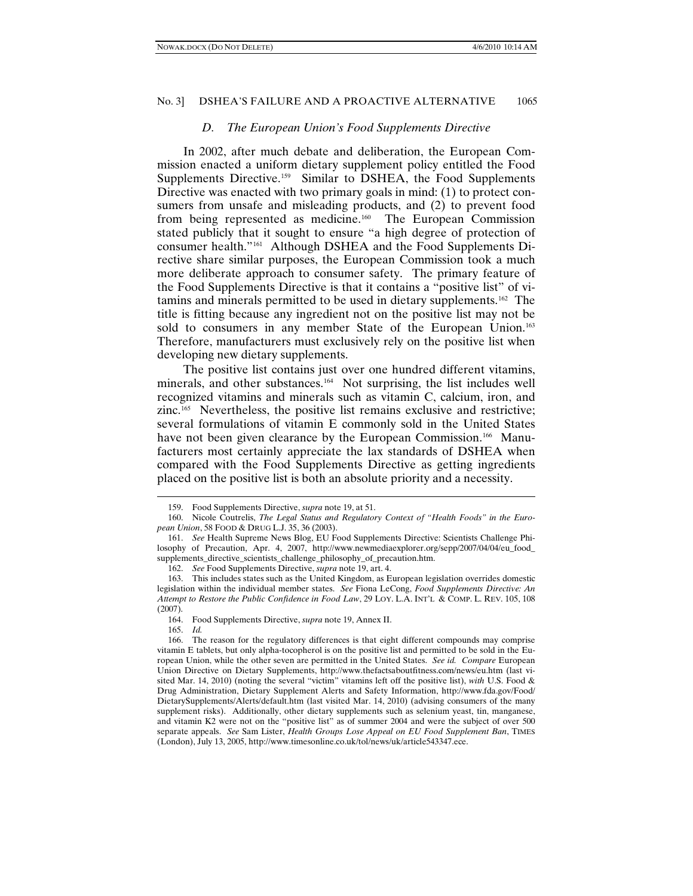#### *D. The European Union's Food Supplements Directive*

In 2002, after much debate and deliberation, the European Commission enacted a uniform dietary supplement policy entitled the Food Supplements Directive.<sup>159</sup> Similar to DSHEA, the Food Supplements Directive was enacted with two primary goals in mind: (1) to protect consumers from unsafe and misleading products, and (2) to prevent food from being represented as medicine[.160](#page-20-1) The European Commission stated publicly that it sought to ensure "a high degree of protection of consumer health."[161](#page-20-2) Although DSHEA and the Food Supplements Directive share similar purposes, the European Commission took a much more deliberate approach to consumer safety. The primary feature of the Food Supplements Directive is that it contains a "positive list" of vitamins and minerals permitted to be used in dietary supplements.[162](#page-20-3) The title is fitting because any ingredient not on the positive list may not be sold to consumers in any member State of the European Union.<sup>[163](#page-20-4)</sup> Therefore, manufacturers must exclusively rely on the positive list when developing new dietary supplements.

The positive list contains just over one hundred different vitamins, minerals, and other substances. [164](#page-20-5) Not surprising, the list includes well recognized vitamins and minerals such as vitamin C, calcium, iron, and zinc.[165](#page-20-6) Nevertheless, the positive list remains exclusive and restrictive; several formulations of vitamin E commonly sold in the United States have not been given clearance by the European Commission.<sup>[166](#page-20-7)</sup> Manufacturers most certainly appreciate the lax standards of DSHEA when compared with the Food Supplements Directive as getting ingredients placed on the positive list is both an absolute priority and a necessity.

165. *Id.*

<sup>159.</sup> Food Supplements Directive, *supra* note 19, at 51.

<span id="page-20-1"></span><span id="page-20-0"></span><sup>160.</sup> Nicole Coutrelis, *The Legal Status and Regulatory Context of "Health Foods" in the European Union*, 58 FOOD & DRUG L.J. 35, 36 (2003).

<span id="page-20-2"></span><sup>161.</sup> *See* Health Supreme News Blog, EU Food Supplements Directive: Scientists Challenge Philosophy of Precaution, Apr. 4, 2007, http://www.newmediaexplorer.org/sepp/2007/04/04/eu\_food\_ supplements\_directive\_scientists\_challenge\_philosophy\_of\_precaution.htm.

<sup>162.</sup> *See* Food Supplements Directive, *supra* note 19, art. 4.

<span id="page-20-4"></span><span id="page-20-3"></span><sup>163.</sup> This includes states such as the United Kingdom, as European legislation overrides domestic legislation within the individual member states. *See* Fiona LeCong, *Food Supplements Directive: An Attempt to Restore the Public Confidence in Food Law*, 29 LOY. L.A. INT'L & COMP. L. REV. 105, 108 (2007).

<sup>164.</sup> Food Supplements Directive, *supra* note 19, Annex II.

<span id="page-20-7"></span><span id="page-20-6"></span><span id="page-20-5"></span><sup>166.</sup> The reason for the regulatory differences is that eight different compounds may comprise vitamin E tablets, but only alpha-tocopherol is on the positive list and permitted to be sold in the European Union, while the other seven are permitted in the United States. *See id. Compare* European Union Directive on Dietary Supplements, http://www.thefactsaboutfitness.com/news/eu.htm (last visited Mar. 14, 2010) (noting the several "victim" vitamins left off the positive list), *with* U.S. Food & Drug Administration, Dietary Supplement Alerts and Safety Information, http://www.fda.gov/Food/ DietarySupplements/Alerts/default.htm (last visited Mar. 14, 2010) (advising consumers of the many supplement risks). Additionally, other dietary supplements such as selenium yeast, tin, manganese, and vitamin K2 were not on the "positive list" as of summer 2004 and were the subject of over 500 separate appeals. *See* Sam Lister, *Health Groups Lose Appeal on EU Food Supplement Ban*, TIMES (London), July 13, 2005, http://www.timesonline.co.uk/tol/news/uk/article543347.ece.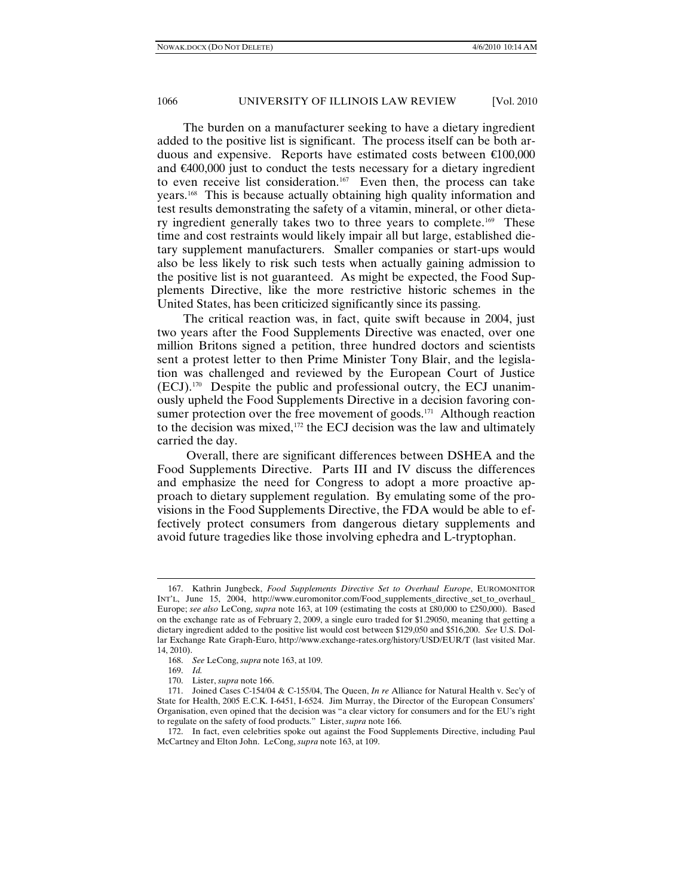The burden on a manufacturer seeking to have a dietary ingredient added to the positive list is significant. The process itself can be both arduous and expensive. Reports have estimated costs between  $\epsilon 00,000$ and €400,000 just to conduct the tests necessary for a dietary ingredient to even receive list consideration.<sup>[167](#page-21-0)</sup> Even then, the process can take years.[168](#page-21-1) This is because actually obtaining high quality information and test results demonstrating the safety of a vitamin, mineral, or other dieta-ry ingredient generally takes two to three years to complete.<sup>[169](#page-21-2)</sup> These time and cost restraints would likely impair all but large, established dietary supplement manufacturers. Smaller companies or start-ups would also be less likely to risk such tests when actually gaining admission to the positive list is not guaranteed. As might be expected, the Food Supplements Directive, like the more restrictive historic schemes in the United States, has been criticized significantly since its passing.

The critical reaction was, in fact, quite swift because in 2004, just two years after the Food Supplements Directive was enacted, over one million Britons signed a petition, three hundred doctors and scientists sent a protest letter to then Prime Minister Tony Blair, and the legislation was challenged and reviewed by the European Court of Justice (ECJ). [170](#page-21-3) Despite the public and professional outcry, the ECJ unanimously upheld the Food Supplements Directive in a decision favoring con-sumer protection over the free movement of goods.<sup>[171](#page-21-4)</sup> Although reaction to the decision was mixed,[172](#page-21-5) the ECJ decision was the law and ultimately carried the day.

Overall, there are significant differences between DSHEA and the Food Supplements Directive. Parts III and IV discuss the differences and emphasize the need for Congress to adopt a more proactive approach to dietary supplement regulation. By emulating some of the provisions in the Food Supplements Directive, the FDA would be able to effectively protect consumers from dangerous dietary supplements and avoid future tragedies like those involving ephedra and L-tryptophan.

<span id="page-21-0"></span><sup>167.</sup> Kathrin Jungbeck, *Food Supplements Directive Set to Overhaul Europe*, EUROMONITOR INT'L, June 15, 2004, http://www.euromonitor.com/Food\_supplements\_directive\_set\_to\_overhaul\_ Europe; *see also* LeCong, *supra* note 163, at 109 (estimating the costs at £80,000 to £250,000). Based on the exchange rate as of February 2, 2009, a single euro traded for \$1.29050, meaning that getting a dietary ingredient added to the positive list would cost between \$129,050 and \$516,200. *See* U.S. Dollar Exchange Rate Graph-Euro, http://www.exchange-rates.org/history/USD/EUR/T (last visited Mar. 14, 2010).

<sup>168.</sup> *See* LeCong, *supra* note 163, at 109.

<sup>169.</sup> *Id.*

<sup>170.</sup> Lister, *supra* note 166.

<span id="page-21-4"></span><span id="page-21-3"></span><span id="page-21-2"></span><span id="page-21-1"></span><sup>171.</sup> Joined Cases C-154/04 & C-155/04, The Queen, *In re* Alliance for Natural Health v. Sec'y of State for Health, 2005 E.C.K. I-6451, I-6524. Jim Murray, the Director of the European Consumers' Organisation, even opined that the decision was "a clear victory for consumers and for the EU's right to regulate on the safety of food products." Lister, *supra* note 166.

<span id="page-21-5"></span><sup>172.</sup> In fact, even celebrities spoke out against the Food Supplements Directive, including Paul McCartney and Elton John. LeCong, *supra* note 163, at 109.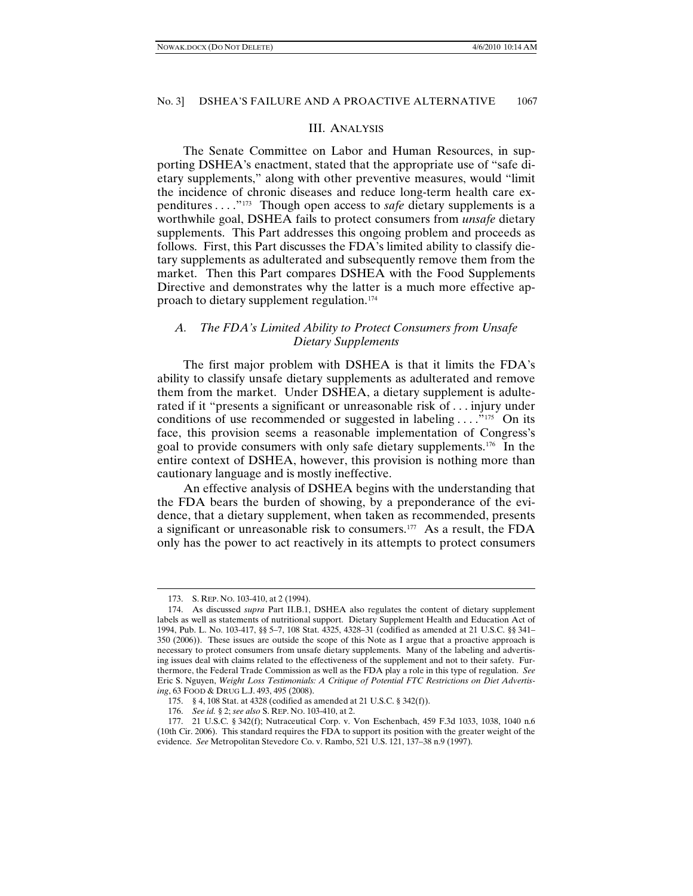#### III. ANALYSIS

The Senate Committee on Labor and Human Resources, in supporting DSHEA's enactment, stated that the appropriate use of "safe dietary supplements," along with other preventive measures, would "limit the incidence of chronic diseases and reduce long-term health care expenditures . . . ."[173](#page-22-0) Though open access to *safe* dietary supplements is a worthwhile goal, DSHEA fails to protect consumers from *unsafe* dietary supplements. This Part addresses this ongoing problem and proceeds as follows. First, this Part discusses the FDA's limited ability to classify dietary supplements as adulterated and subsequently remove them from the market. Then this Part compares DSHEA with the Food Supplements Directive and demonstrates why the latter is a much more effective approach to dietary supplement regulation.[174](#page-22-1)

# *A. The FDA's Limited Ability to Protect Consumers from Unsafe Dietary Supplements*

The first major problem with DSHEA is that it limits the FDA's ability to classify unsafe dietary supplements as adulterated and remove them from the market. Under DSHEA, a dietary supplement is adulterated if it "presents a significant or unreasonable risk of . . . injury under conditions of use recommended or suggested in labeling  $\dots$ ."<sup>175</sup> On its face, this provision seems a reasonable implementation of Congress's goal to provide consumers with only safe dietary supplements[.176](#page-22-3) In the entire context of DSHEA, however, this provision is nothing more than cautionary language and is mostly ineffective.

An effective analysis of DSHEA begins with the understanding that the FDA bears the burden of showing, by a preponderance of the evidence, that a dietary supplement, when taken as recommended, presents a significant or unreasonable risk to consumers. [177](#page-22-4) As a result, the FDA only has the power to act reactively in its attempts to protect consumers

<sup>173.</sup> S. REP. NO. 103-410, at 2 (1994).

<span id="page-22-1"></span><span id="page-22-0"></span><sup>174.</sup> As discussed *supra* Part II.B.1, DSHEA also regulates the content of dietary supplement labels as well as statements of nutritional support. Dietary Supplement Health and Education Act of 1994, Pub. L. No. 103-417, §§ 5–7, 108 Stat. 4325, 4328–31 (codified as amended at 21 U.S.C. §§ 341– 350 (2006)). These issues are outside the scope of this Note as I argue that a proactive approach is necessary to protect consumers from unsafe dietary supplements. Many of the labeling and advertising issues deal with claims related to the effectiveness of the supplement and not to their safety. Furthermore, the Federal Trade Commission as well as the FDA play a role in this type of regulation. *See*  Eric S. Nguyen, *Weight Loss Testimonials: A Critique of Potential FTC Restrictions on Diet Advertising*, 63 FOOD & DRUG L.J. 493, 495 (2008).

<sup>175.</sup> § 4, 108 Stat. at 4328 (codified as amended at 21 U.S.C. § 342(f)).

<sup>176.</sup> *See id.* § 2; *see also* S. REP. NO. 103-410, at 2.

<span id="page-22-4"></span><span id="page-22-3"></span><span id="page-22-2"></span><sup>177.</sup> 21 U.S.C. § 342(f); Nutraceutical Corp. v. Von Eschenbach, 459 F.3d 1033, 1038, 1040 n.6 (10th Cir. 2006). This standard requires the FDA to support its position with the greater weight of the evidence. *See* Metropolitan Stevedore Co. v. Rambo, 521 U.S. 121, 137–38 n.9 (1997).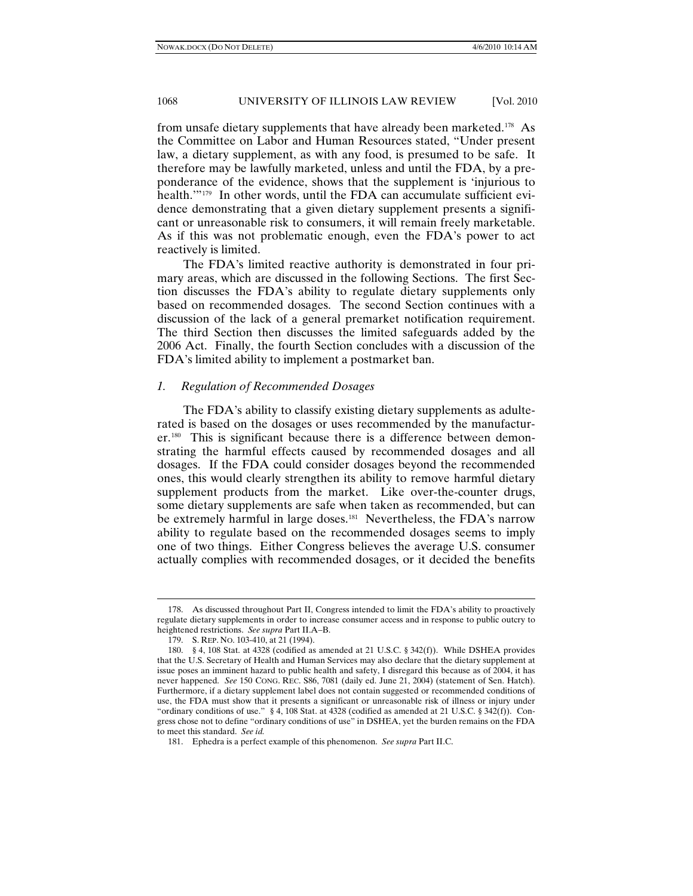from unsafe dietary supplements that have already been marketed.[178](#page-23-0) As the Committee on Labor and Human Resources stated, "Under present law, a dietary supplement, as with any food, is presumed to be safe. It therefore may be lawfully marketed, unless and until the FDA, by a preponderance of the evidence, shows that the supplement is 'injurious to health.'"[179](#page-23-1) In other words, until the FDA can accumulate sufficient evidence demonstrating that a given dietary supplement presents a significant or unreasonable risk to consumers, it will remain freely marketable. As if this was not problematic enough, even the FDA's power to act reactively is limited.

The FDA's limited reactive authority is demonstrated in four primary areas, which are discussed in the following Sections. The first Section discusses the FDA's ability to regulate dietary supplements only based on recommended dosages. The second Section continues with a discussion of the lack of a general premarket notification requirement. The third Section then discusses the limited safeguards added by the 2006 Act. Finally, the fourth Section concludes with a discussion of the FDA's limited ability to implement a postmarket ban.

# *1. Regulation of Recommended Dosages*

The FDA's ability to classify existing dietary supplements as adulterated is based on the dosages or uses recommended by the manufacturer.[180](#page-23-2) This is significant because there is a difference between demonstrating the harmful effects caused by recommended dosages and all dosages. If the FDA could consider dosages beyond the recommended ones, this would clearly strengthen its ability to remove harmful dietary supplement products from the market. Like over-the-counter drugs, some dietary supplements are safe when taken as recommended, but can be extremely harmful in large doses.<sup>[181](#page-23-3)</sup> Nevertheless, the FDA's narrow ability to regulate based on the recommended dosages seems to imply one of two things. Either Congress believes the average U.S. consumer actually complies with recommended dosages, or it decided the benefits

<span id="page-23-0"></span><sup>178.</sup> As discussed throughout Part II, Congress intended to limit the FDA's ability to proactively regulate dietary supplements in order to increase consumer access and in response to public outcry to heightened restrictions. *See supra* Part II.A–B.

<sup>179.</sup> S. REP. NO. 103-410, at 21 (1994).

<span id="page-23-2"></span><span id="page-23-1"></span><sup>180.</sup> § 4, 108 Stat. at 4328 (codified as amended at 21 U.S.C. § 342(f)). While DSHEA provides that the U.S. Secretary of Health and Human Services may also declare that the dietary supplement at issue poses an imminent hazard to public health and safety, I disregard this because as of 2004, it has never happened. *See* 150 CONG. REC. S86, 7081 (daily ed. June 21, 2004) (statement of Sen. Hatch). Furthermore, if a dietary supplement label does not contain suggested or recommended conditions of use, the FDA must show that it presents a significant or unreasonable risk of illness or injury under "ordinary conditions of use." § 4, 108 Stat. at 4328 (codified as amended at 21 U.S.C. § 342(f)). Congress chose not to define "ordinary conditions of use" in DSHEA, yet the burden remains on the FDA to meet this standard. *See id.*

<span id="page-23-3"></span><sup>181.</sup> Ephedra is a perfect example of this phenomenon. *See supra* Part II.C.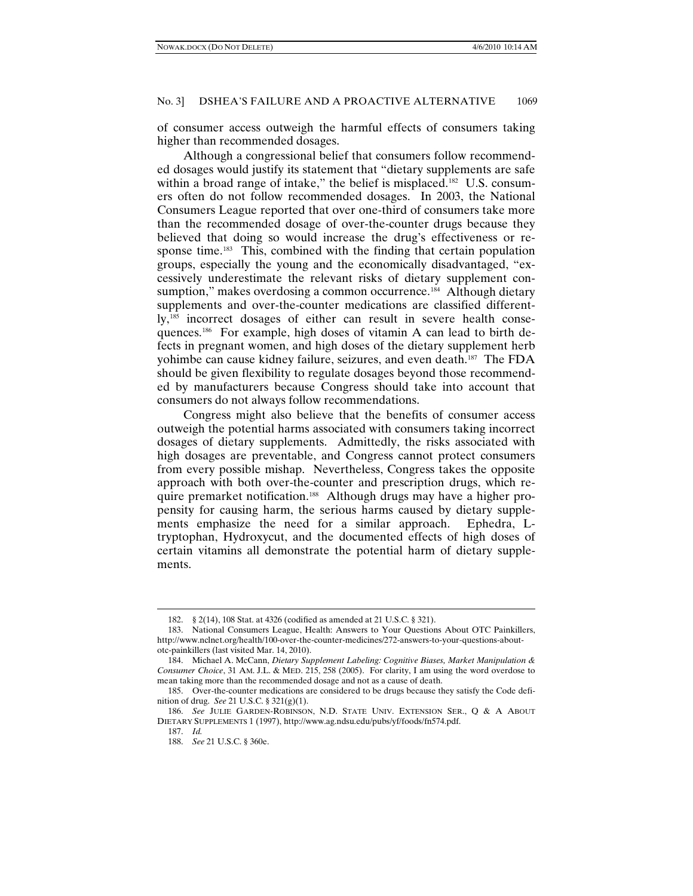of consumer access outweigh the harmful effects of consumers taking higher than recommended dosages.

Although a congressional belief that consumers follow recommended dosages would justify its statement that "dietary supplements are safe within a broad range of intake," the belief is misplaced.<sup>182</sup> U.S. consumers often do not follow recommended dosages. In 2003, the National Consumers League reported that over one-third of consumers take more than the recommended dosage of over-the-counter drugs because they believed that doing so would increase the drug's effectiveness or response time.<sup>183</sup> This, combined with the finding that certain population groups, especially the young and the economically disadvantaged, "excessively underestimate the relevant risks of dietary supplement consumption," makes overdosing a common occurrence.<sup>184</sup> Although dietary supplements and over-the-counter medications are classified different-ly,<sup>[185](#page-24-3)</sup> incorrect dosages of either can result in severe health consequences.[186](#page-24-4) For example, high doses of vitamin A can lead to birth defects in pregnant women, and high doses of the dietary supplement herb yohimbe can cause kidney failure, seizures, and even death.[187](#page-24-5) The FDA should be given flexibility to regulate dosages beyond those recommended by manufacturers because Congress should take into account that consumers do not always follow recommendations.

Congress might also believe that the benefits of consumer access outweigh the potential harms associated with consumers taking incorrect dosages of dietary supplements. Admittedly, the risks associated with high dosages are preventable, and Congress cannot protect consumers from every possible mishap. Nevertheless, Congress takes the opposite approach with both over-the-counter and prescription drugs, which require premarket notification. [188](#page-24-6) Although drugs may have a higher propensity for causing harm, the serious harms caused by dietary supplements emphasize the need for a similar approach. Ephedra, Ltryptophan, Hydroxycut, and the documented effects of high doses of certain vitamins all demonstrate the potential harm of dietary supplements.

<sup>182.</sup> § 2(14), 108 Stat. at 4326 (codified as amended at 21 U.S.C. § 321).

<span id="page-24-1"></span><span id="page-24-0"></span><sup>183.</sup> National Consumers League, Health: Answers to Your Questions About OTC Painkillers, http://www.nclnet.org/health/100-over-the-counter-medicines/272-answers-to-your-questions-aboutotc-painkillers (last visited Mar. 14, 2010).

<span id="page-24-2"></span><sup>184.</sup> Michael A. McCann, *Dietary Supplement Labeling: Cognitive Biases, Market Manipulation & Consumer Choice*, 31 AM. J.L. & MED. 215, 258 (2005). For clarity, I am using the word overdose to mean taking more than the recommended dosage and not as a cause of death.

<span id="page-24-3"></span><sup>185.</sup> Over-the-counter medications are considered to be drugs because they satisfy the Code definition of drug. *See* 21 U.S.C. § 321(g)(1).

<span id="page-24-6"></span><span id="page-24-5"></span><span id="page-24-4"></span><sup>186.</sup> *See* JULIE GARDEN-ROBINSON, N.D. STATE UNIV. EXTENSION SER., Q & A ABOUT DIETARY SUPPLEMENTS 1 (1997), http://www.ag.ndsu.edu/pubs/yf/foods/fn574.pdf.

<sup>187.</sup> *Id.*

<sup>188.</sup> *See* 21 U.S.C. § 360e.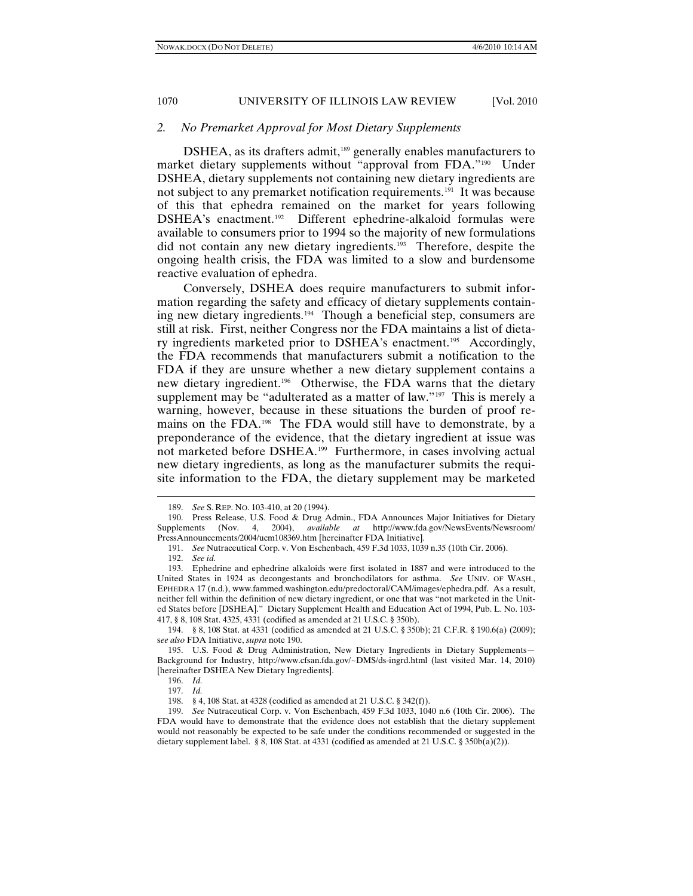#### *2. No Premarket Approval for Most Dietary Supplements*

DSHEA, as its drafters admit,<sup>[189](#page-25-0)</sup> generally enables manufacturers to market dietary supplements without "approval from FDA."<sup>190</sup> Under DSHEA, dietary supplements not containing new dietary ingredients are not subject to any premarket notification requirements.<sup>[191](#page-25-2)</sup> It was because of this that ephedra remained on the market for years following DSHEA's enactment.[192](#page-25-3) Different ephedrine-alkaloid formulas were available to consumers prior to 1994 so the majority of new formulations did not contain any new dietary ingredients.[193](#page-25-4) Therefore, despite the ongoing health crisis, the FDA was limited to a slow and burdensome reactive evaluation of ephedra.

Conversely, DSHEA does require manufacturers to submit information regarding the safety and efficacy of dietary supplements containing new dietary ingredients. [194](#page-25-5) Though a beneficial step, consumers are still at risk. First, neither Congress nor the FDA maintains a list of dieta-ry ingredients marketed prior to DSHEA's enactment.<sup>[195](#page-25-6)</sup> Accordingly, the FDA recommends that manufacturers submit a notification to the FDA if they are unsure whether a new dietary supplement contains a new dietary ingredient.[196](#page-25-7) Otherwise, the FDA warns that the dietary supplement may be "adulterated as a matter of law."<sup>[197](#page-25-8)</sup> This is merely a warning, however, because in these situations the burden of proof remains on the FDA.<sup>198</sup> The FDA would still have to demonstrate, by a preponderance of the evidence, that the dietary ingredient at issue was not marketed before DSHEA.<sup>[199](#page-25-10)</sup> Furthermore, in cases involving actual new dietary ingredients, as long as the manufacturer submits the requisite information to the FDA, the dietary supplement may be marketed

<sup>189.</sup> *See* S. REP. NO. 103-410, at 20 (1994).

<span id="page-25-1"></span><span id="page-25-0"></span><sup>190.</sup> Press Release, U.S. Food & Drug Admin., FDA Announces Major Initiatives for Dietary Supplements (Nov. 4, 2004), *available at* http://www.fda.gov/NewsEvents/Newsroom/ PressAnnouncements/2004/ucm108369.htm [hereinafter FDA Initiative].

<sup>191.</sup> *See* Nutraceutical Corp. v. Von Eschenbach, 459 F.3d 1033, 1039 n.35 (10th Cir. 2006).

<sup>192.</sup> *See id.*

<span id="page-25-4"></span><span id="page-25-3"></span><span id="page-25-2"></span><sup>193.</sup> Ephedrine and ephedrine alkaloids were first isolated in 1887 and were introduced to the United States in 1924 as decongestants and bronchodilators for asthma. *See* UNIV. OF WASH., EPHEDRA 17 (n.d.), www.fammed.washington.edu/predoctoral/CAM/images/ephedra.pdf. As a result, neither fell within the definition of new dietary ingredient, or one that was "not marketed in the United States before [DSHEA]." Dietary Supplement Health and Education Act of 1994, Pub. L. No. 103- 417, § 8, 108 Stat. 4325, 4331 (codified as amended at 21 U.S.C. § 350b).

<span id="page-25-5"></span><sup>194.</sup> § 8, 108 Stat. at 4331 (codified as amended at 21 U.S.C. § 350b); 21 C.F.R. § 190.6(a) (2009); s*ee also* FDA Initiative, *supra* note 190.

<span id="page-25-7"></span><span id="page-25-6"></span><sup>195.</sup> U.S. Food & Drug Administration, New Dietary Ingredients in Dietary Supplements— Background for Industry, http://www.cfsan.fda.gov/~DMS/ds-ingrd.html (last visited Mar. 14, 2010) [hereinafter DSHEA New Dietary Ingredients].

<sup>196.</sup> *Id.*

<sup>197.</sup> *Id.*

<sup>198.</sup> § 4, 108 Stat. at 4328 (codified as amended at 21 U.S.C. § 342(f)).

<span id="page-25-10"></span><span id="page-25-9"></span><span id="page-25-8"></span><sup>199.</sup> *See* Nutraceutical Corp. v. Von Eschenbach, 459 F.3d 1033, 1040 n.6 (10th Cir. 2006). The FDA would have to demonstrate that the evidence does not establish that the dietary supplement would not reasonably be expected to be safe under the conditions recommended or suggested in the dietary supplement label. § 8, 108 Stat. at 4331 (codified as amended at 21 U.S.C. § 350b(a)(2)).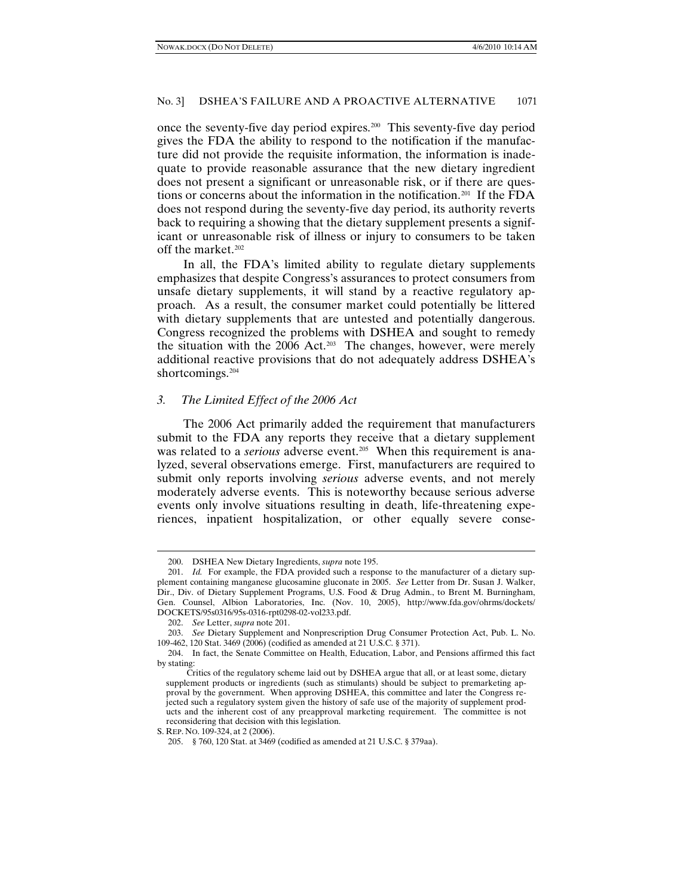once the seventy-five day period expires.[200](#page-26-0) This seventy-five day period gives the FDA the ability to respond to the notification if the manufacture did not provide the requisite information, the information is inadequate to provide reasonable assurance that the new dietary ingredient does not present a significant or unreasonable risk, or if there are questions or concerns about the information in the notification.[201](#page-26-1) If the FDA does not respond during the seventy-five day period, its authority reverts back to requiring a showing that the dietary supplement presents a significant or unreasonable risk of illness or injury to consumers to be taken off the market.<sup>202</sup>

In all, the FDA's limited ability to regulate dietary supplements emphasizes that despite Congress's assurances to protect consumers from unsafe dietary supplements, it will stand by a reactive regulatory approach. As a result, the consumer market could potentially be littered with dietary supplements that are untested and potentially dangerous. Congress recognized the problems with DSHEA and sought to remedy the situation with the 2006 Act.<sup>203</sup> The changes, however, were merely additional reactive provisions that do not adequately address DSHEA's shortcomings.<sup>[204](#page-26-4)</sup>

# *3. The Limited Effect of the 2006 Act*

The 2006 Act primarily added the requirement that manufacturers submit to the FDA any reports they receive that a dietary supplement was related to a *serious* adverse event.<sup>205</sup> When this requirement is analyzed, several observations emerge. First, manufacturers are required to submit only reports involving *serious* adverse events, and not merely moderately adverse events. This is noteworthy because serious adverse events only involve situations resulting in death, life-threatening experiences, inpatient hospitalization, or other equally severe conse-

<sup>200.</sup> DSHEA New Dietary Ingredients, *supra* note 195.

<span id="page-26-1"></span><span id="page-26-0"></span><sup>201.</sup> *Id.* For example, the FDA provided such a response to the manufacturer of a dietary supplement containing manganese glucosamine gluconate in 2005. *See* Letter from Dr. Susan J. Walker, Dir., Div. of Dietary Supplement Programs, U.S. Food & Drug Admin., to Brent M. Burningham, Gen. Counsel, Albion Laboratories, Inc. (Nov. 10, 2005), http://www.fda.gov/ohrms/dockets/ DOCKETS/95s0316/95s-0316-rpt0298-02-vol233.pdf.

<sup>202.</sup> *See* Letter, *supra* note 201.

<span id="page-26-3"></span><span id="page-26-2"></span><sup>203.</sup> *See* Dietary Supplement and Nonprescription Drug Consumer Protection Act, Pub. L. No. 109-462, 120 Stat. 3469 (2006) (codified as amended at 21 U.S.C. § 371).

<span id="page-26-4"></span><sup>204.</sup> In fact, the Senate Committee on Health, Education, Labor, and Pensions affirmed this fact by stating:

Critics of the regulatory scheme laid out by DSHEA argue that all, or at least some, dietary supplement products or ingredients (such as stimulants) should be subject to premarketing approval by the government. When approving DSHEA, this committee and later the Congress rejected such a regulatory system given the history of safe use of the majority of supplement products and the inherent cost of any preapproval marketing requirement. The committee is not reconsidering that decision with this legislation.

<span id="page-26-6"></span><span id="page-26-5"></span>S. REP. NO. 109-324, at 2 (2006).

<sup>205.</sup> § 760, 120 Stat. at 3469 (codified as amended at 21 U.S.C. § 379aa).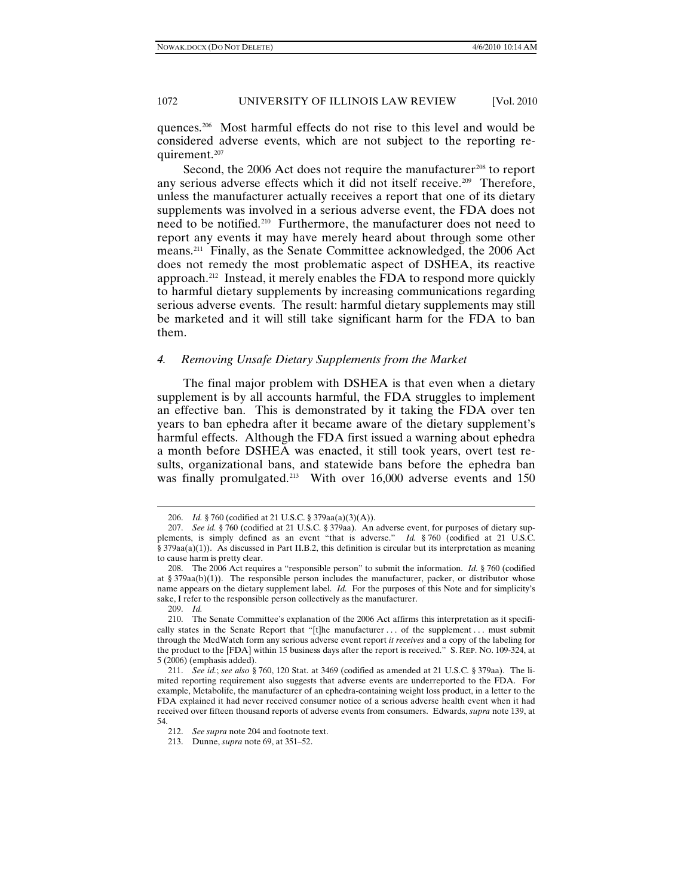quences.[206](#page-26-6) Most harmful effects do not rise to this level and would be considered adverse events, which are not subject to the reporting requirement[.207](#page-27-0)

Second, the 2006 Act does not require the manufacturer<sup>[208](#page-27-1)</sup> to report any serious adverse effects which it did not itself receive. [209](#page-27-2) Therefore, unless the manufacturer actually receives a report that one of its dietary supplements was involved in a serious adverse event, the FDA does not need to be notified.[210](#page-27-3) Furthermore, the manufacturer does not need to report any events it may have merely heard about through some other means.[211](#page-27-4) Finally, as the Senate Committee acknowledged, the 2006 Act does not remedy the most problematic aspect of DSHEA, its reactive approach.[212](#page-27-5) Instead, it merely enables the FDA to respond more quickly to harmful dietary supplements by increasing communications regarding serious adverse events. The result: harmful dietary supplements may still be marketed and it will still take significant harm for the FDA to ban them.

# *4. Removing Unsafe Dietary Supplements from the Market*

The final major problem with DSHEA is that even when a dietary supplement is by all accounts harmful, the FDA struggles to implement an effective ban. This is demonstrated by it taking the FDA over ten years to ban ephedra after it became aware of the dietary supplement's harmful effects. Although the FDA first issued a warning about ephedra a month before DSHEA was enacted, it still took years, overt test results, organizational bans, and statewide bans before the ephedra ban was finally promulgated.<sup>[213](#page-27-6)</sup> With over 16,000 adverse events and 150

<sup>206.</sup> *Id.* § 760 (codified at 21 U.S.C. § 379aa(a)(3)(A)).

<span id="page-27-0"></span><sup>207.</sup> *See id.* § 760 (codified at 21 U.S.C. § 379aa). An adverse event, for purposes of dietary supplements, is simply defined as an event "that is adverse." *Id.* § 760 (codified at 21 U.S.C. § 379aa(a)(1)). As discussed in Part II.B.2, this definition is circular but its interpretation as meaning to cause harm is pretty clear.

<span id="page-27-1"></span><sup>208.</sup> The 2006 Act requires a "responsible person" to submit the information. *Id.* § 760 (codified at § 379aa(b)(1)). The responsible person includes the manufacturer, packer, or distributor whose name appears on the dietary supplement label. *Id.* For the purposes of this Note and for simplicity's sake, I refer to the responsible person collectively as the manufacturer.

<sup>209.</sup> *Id.*

<span id="page-27-3"></span><span id="page-27-2"></span><sup>210.</sup> The Senate Committee's explanation of the 2006 Act affirms this interpretation as it specifically states in the Senate Report that "[t]he manufacturer ... of the supplement ... must submit through the MedWatch form any serious adverse event report *it receives* and a copy of the labeling for the product to the [FDA] within 15 business days after the report is received." S. REP. NO. 109-324, at 5 (2006) (emphasis added).

<span id="page-27-4"></span><sup>211.</sup> *See id.*; *see also* § 760, 120 Stat. at 3469 (codified as amended at 21 U.S.C. § 379aa).The limited reporting requirement also suggests that adverse events are underreported to the FDA. For example, Metabolife, the manufacturer of an ephedra-containing weight loss product, in a letter to the FDA explained it had never received consumer notice of a serious adverse health event when it had received over fifteen thousand reports of adverse events from consumers. Edwards, *supra* note 139, at 54.

<sup>212.</sup> *See supra* note 204 and footnote text.

<span id="page-27-6"></span><span id="page-27-5"></span><sup>213.</sup> Dunne, *supra* note 69, at 351–52.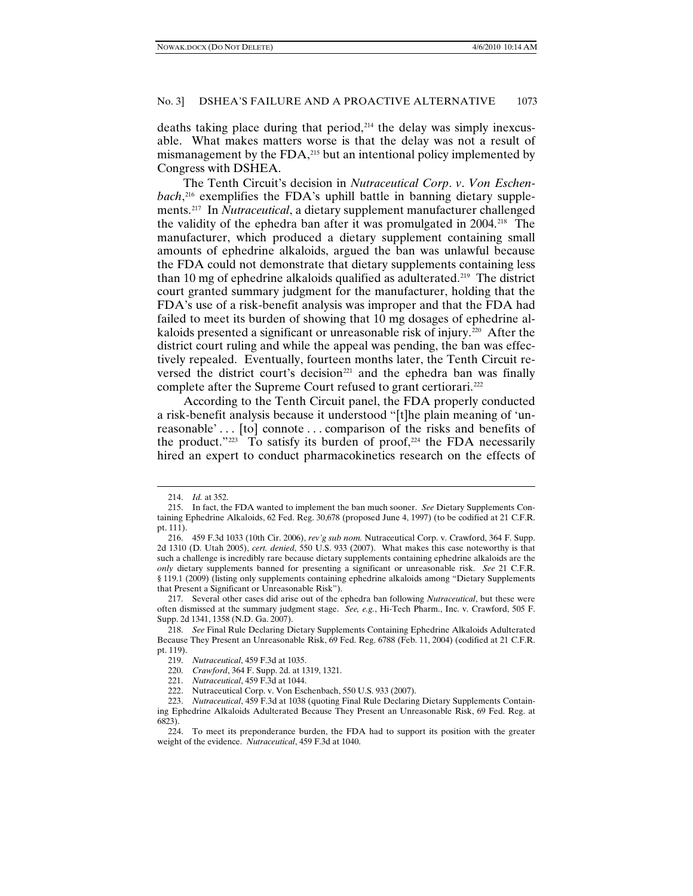deaths taking place during that period,<sup>[214](#page-28-0)</sup> the delay was simply inexcusable. What makes matters worse is that the delay was not a result of mismanagement by the FDA,<sup>[215](#page-28-1)</sup> but an intentional policy implemented by Congress with DSHEA.

The Tenth Circuit's decision in *Nutraceutical Corp*. *v*. *Von Eschenbach*, [216](#page-28-2) exemplifies the FDA's uphill battle in banning dietary supplements.[217](#page-28-3) In *Nutraceutical*, a dietary supplement manufacturer challenged the validity of the ephedra ban after it was promulgated in 2004.[218](#page-28-4) The manufacturer, which produced a dietary supplement containing small amounts of ephedrine alkaloids, argued the ban was unlawful because the FDA could not demonstrate that dietary supplements containing less than 10 mg of ephedrine alkaloids qualified as adulterated.<sup>[219](#page-28-5)</sup> The district court granted summary judgment for the manufacturer, holding that the FDA's use of a risk-benefit analysis was improper and that the FDA had failed to meet its burden of showing that 10 mg dosages of ephedrine al-kaloids presented a significant or unreasonable risk of injury.<sup>[220](#page-28-6)</sup> After the district court ruling and while the appeal was pending, the ban was effectively repealed. Eventually, fourteen months later, the Tenth Circuit reversed the district court's decision<sup>221</sup> and the ephedra ban was finally complete after the Supreme Court refused to grant certiorari.<sup>[222](#page-28-8)</sup>

According to the Tenth Circuit panel, the FDA properly conducted a risk-benefit analysis because it understood "[t]he plain meaning of 'unreasonable'... [to] connote... comparison of the risks and benefits of the product." $223$  To satisfy its burden of proof, $224$  the FDA necessarily hired an expert to conduct pharmacokinetics research on the effects of

<sup>214.</sup> *Id.* at 352.

<span id="page-28-1"></span><span id="page-28-0"></span><sup>215.</sup> In fact, the FDA wanted to implement the ban much sooner. *See* Dietary Supplements Containing Ephedrine Alkaloids, 62 Fed. Reg. 30,678 (proposed June 4, 1997) (to be codified at 21 C.F.R. pt. 111).

<span id="page-28-2"></span><sup>216.</sup> 459 F.3d 1033 (10th Cir. 2006), *rev'g sub nom.* Nutraceutical Corp. v. Crawford, 364 F. Supp. 2d 1310 (D. Utah 2005), *cert. denied*, 550 U.S. 933 (2007). What makes this case noteworthy is that such a challenge is incredibly rare because dietary supplements containing ephedrine alkaloids are the *only* dietary supplements banned for presenting a significant or unreasonable risk. *See* 21 C.F.R. § 119.1 (2009) (listing only supplements containing ephedrine alkaloids among "Dietary Supplements that Present a Significant or Unreasonable Risk").

<span id="page-28-3"></span><sup>217.</sup> Several other cases did arise out of the ephedra ban following *Nutraceutical*, but these were often dismissed at the summary judgment stage. *See, e.g.*, Hi-Tech Pharm., Inc. v. Crawford, 505 F. Supp. 2d 1341, 1358 (N.D. Ga. 2007).

<span id="page-28-5"></span><span id="page-28-4"></span><sup>218.</sup> *See* Final Rule Declaring Dietary Supplements Containing Ephedrine Alkaloids Adulterated Because They Present an Unreasonable Risk, 69 Fed. Reg. 6788 (Feb. 11, 2004) (codified at 21 C.F.R. pt. 119).

<sup>219.</sup> *Nutraceutical*, 459 F.3d at 1035.

<sup>220.</sup> *Crawford*, 364 F. Supp. 2d. at 1319, 1321.

<sup>221.</sup> *Nutraceutical*, 459 F.3d at 1044.

<sup>222.</sup> Nutraceutical Corp. v. Von Eschenbach, 550 U.S. 933 (2007).

<span id="page-28-9"></span><span id="page-28-8"></span><span id="page-28-7"></span><span id="page-28-6"></span><sup>223.</sup> *Nutraceutical*, 459 F.3d at 1038 (quoting Final Rule Declaring Dietary Supplements Containing Ephedrine Alkaloids Adulterated Because They Present an Unreasonable Risk, 69 Fed. Reg. at 6823).

<span id="page-28-10"></span><sup>224.</sup> To meet its preponderance burden, the FDA had to support its position with the greater weight of the evidence. *Nutraceutical*, 459 F.3d at 1040.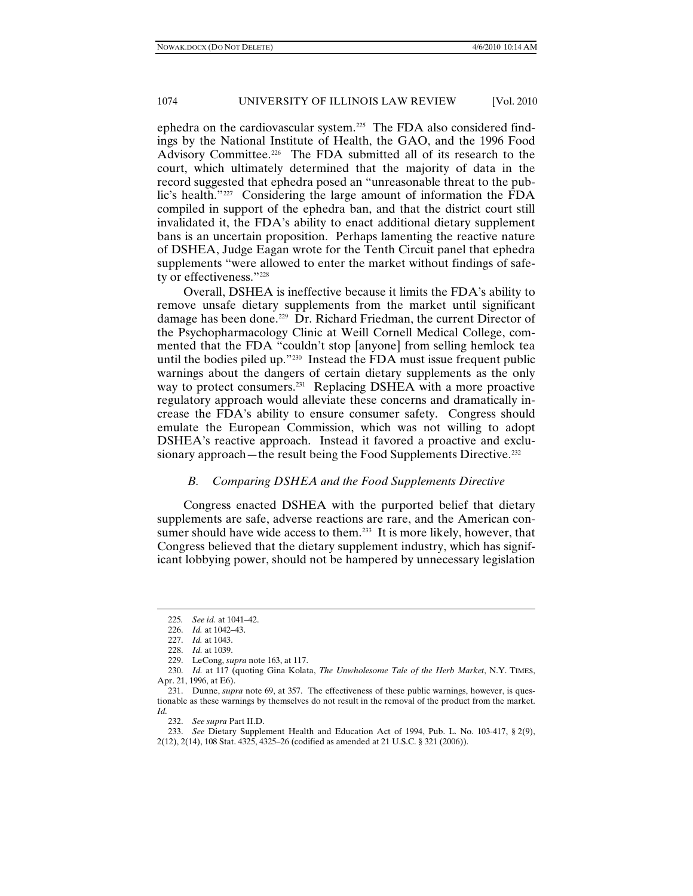ephedra on the cardiovascular system.[225](#page-29-0) The FDA also considered findings by the National Institute of Health, the GAO, and the 1996 Food Advisory Committee.<sup>[226](#page-29-1)</sup> The FDA submitted all of its research to the court, which ultimately determined that the majority of data in the record suggested that ephedra posed an "unreasonable threat to the public's health."[227](#page-29-2) Considering the large amount of information the FDA compiled in support of the ephedra ban, and that the district court still invalidated it, the FDA's ability to enact additional dietary supplement bans is an uncertain proposition. Perhaps lamenting the reactive nature of DSHEA, Judge Eagan wrote for the Tenth Circuit panel that ephedra supplements "were allowed to enter the market without findings of safety or effectiveness."[228](#page-29-3)

Overall, DSHEA is ineffective because it limits the FDA's ability to remove unsafe dietary supplements from the market until significant damage has been done.<sup>229</sup> Dr. Richard Friedman, the current Director of the Psychopharmacology Clinic at Weill Cornell Medical College, commented that the FDA "couldn't stop [anyone] from selling hemlock tea until the bodies piled up."[230](#page-29-5) Instead the FDA must issue frequent public warnings about the dangers of certain dietary supplements as the only way to protect consumers.<sup>231</sup> Replacing DSHEA with a more proactive regulatory approach would alleviate these concerns and dramatically increase the FDA's ability to ensure consumer safety. Congress should emulate the European Commission, which was not willing to adopt DSHEA's reactive approach. Instead it favored a proactive and exclu-sionary approach—the result being the Food Supplements Directive.<sup>[232](#page-29-7)</sup>

# *B. Comparing DSHEA and the Food Supplements Directive*

Congress enacted DSHEA with the purported belief that dietary supplements are safe, adverse reactions are rare, and the American con-sumer should have wide access to them.<sup>[233](#page-29-8)</sup> It is more likely, however, that Congress believed that the dietary supplement industry, which has significant lobbying power, should not be hampered by unnecessary legislation

<sup>225</sup>*. See id.* at 1041–42.

<sup>226.</sup> *Id.* at 1042–43.

<sup>227.</sup> *Id.* at 1043.

<sup>228.</sup> *Id.* at 1039.

<sup>229.</sup> LeCong, *supra* note 163, at 117.

<span id="page-29-5"></span><span id="page-29-4"></span><span id="page-29-3"></span><span id="page-29-2"></span><span id="page-29-1"></span><span id="page-29-0"></span><sup>230.</sup> *Id.* at 117 (quoting Gina Kolata, *The Unwholesome Tale of the Herb Market*, N.Y. TIMES, Apr. 21, 1996, at E6).

<span id="page-29-6"></span><sup>231.</sup> Dunne, *supra* note 69, at 357. The effectiveness of these public warnings, however, is questionable as these warnings by themselves do not result in the removal of the product from the market. *Id.*

<sup>232.</sup> *See supra* Part II.D.

<span id="page-29-8"></span><span id="page-29-7"></span><sup>233.</sup> *See* Dietary Supplement Health and Education Act of 1994, Pub. L. No. 103-417, § 2(9), 2(12), 2(14), 108 Stat. 4325, 4325–26 (codified as amended at 21 U.S.C. § 321 (2006)).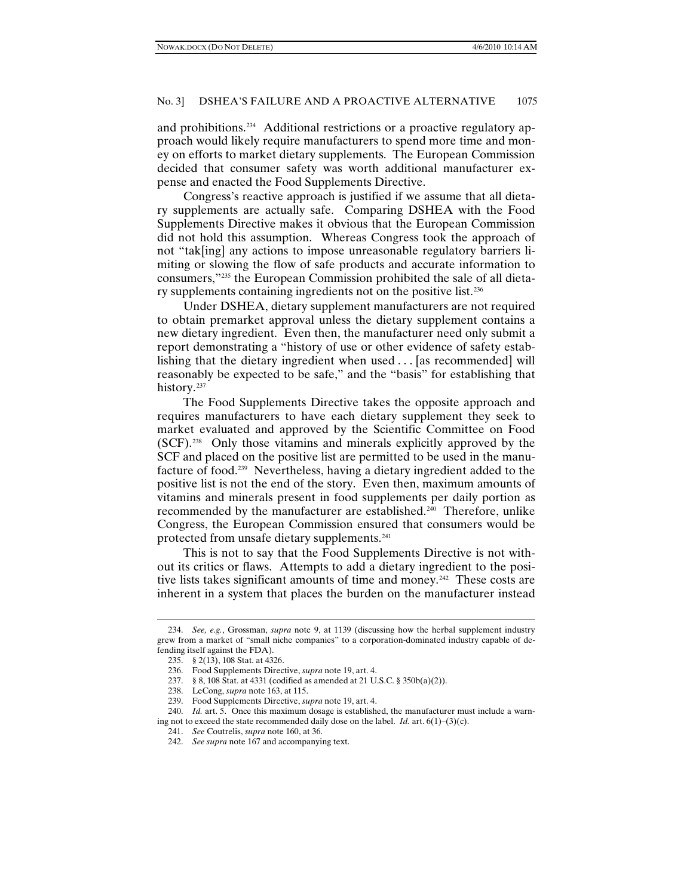and prohibitions.<sup>[234](#page-30-0)</sup> Additional restrictions or a proactive regulatory approach would likely require manufacturers to spend more time and money on efforts to market dietary supplements. The European Commission decided that consumer safety was worth additional manufacturer expense and enacted the Food Supplements Directive.

Congress's reactive approach is justified if we assume that all dietary supplements are actually safe. Comparing DSHEA with the Food Supplements Directive makes it obvious that the European Commission did not hold this assumption. Whereas Congress took the approach of not "tak[ing] any actions to impose unreasonable regulatory barriers limiting or slowing the flow of safe products and accurate information to consumers," [235](#page-30-1) the European Commission prohibited the sale of all dietary supplements containing ingredients not on the positive list.[236](#page-30-2)

Under DSHEA, dietary supplement manufacturers are not required to obtain premarket approval unless the dietary supplement contains a new dietary ingredient. Even then, the manufacturer need only submit a report demonstrating a "history of use or other evidence of safety establishing that the dietary ingredient when used . . . [as recommended] will reasonably be expected to be safe," and the "basis" for establishing that history.<sup>[237](#page-30-3)</sup>

The Food Supplements Directive takes the opposite approach and requires manufacturers to have each dietary supplement they seek to market evaluated and approved by the Scientific Committee on Food (SCF).[238](#page-30-4) Only those vitamins and minerals explicitly approved by the SCF and placed on the positive list are permitted to be used in the manufacture of food[.239](#page-30-5) Nevertheless, having a dietary ingredient added to the positive list is not the end of the story. Even then, maximum amounts of vitamins and minerals present in food supplements per daily portion as recommended by the manufacturer are established.[240](#page-30-6) Therefore, unlike Congress, the European Commission ensured that consumers would be protected from unsafe dietary supplements.[241](#page-30-7)

This is not to say that the Food Supplements Directive is not without its critics or flaws. Attempts to add a dietary ingredient to the posi-tive lists takes significant amounts of time and money.<sup>[242](#page-30-8)</sup> These costs are inherent in a system that places the burden on the manufacturer instead

<span id="page-30-2"></span><span id="page-30-1"></span><span id="page-30-0"></span><sup>234.</sup> *See, e.g.*, Grossman, *supra* note 9, at 1139 (discussing how the herbal supplement industry grew from a market of "small niche companies" to a corporation-dominated industry capable of defending itself against the FDA).

<sup>235.</sup> § 2(13), 108 Stat. at 4326.

<sup>236.</sup> Food Supplements Directive, *supra* note 19, art. 4.

<sup>237.</sup> § 8, 108 Stat. at 4331 (codified as amended at 21 U.S.C. § 350b(a)(2)).

<sup>238.</sup> LeCong, *supra* note 163, at 115.

<sup>239.</sup> Food Supplements Directive, *supra* note 19, art. 4.

<span id="page-30-8"></span><span id="page-30-7"></span><span id="page-30-6"></span><span id="page-30-5"></span><span id="page-30-4"></span><span id="page-30-3"></span><sup>240.</sup> *Id.* art. 5. Once this maximum dosage is established, the manufacturer must include a warning not to exceed the state recommended daily dose on the label. *Id.* art. 6(1)–(3)(c).

<sup>241.</sup> *See* Coutrelis, *supra* note 160, at 36.

<sup>242.</sup> *See supra* note 167 and accompanying text.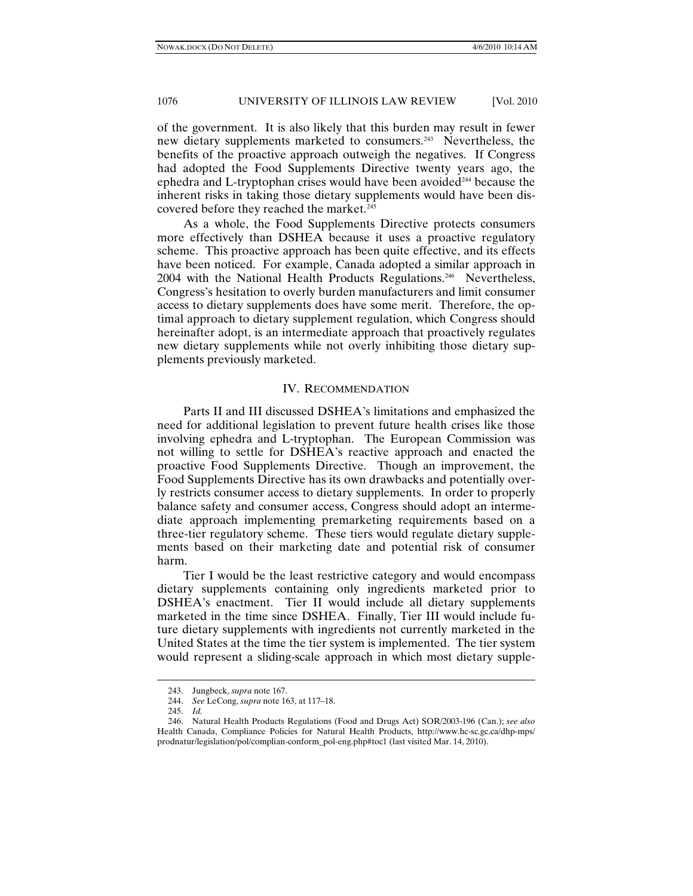of the government. It is also likely that this burden may result in fewer new dietary supplements marketed to consumers.<sup>243</sup> Nevertheless, the benefits of the proactive approach outweigh the negatives. If Congress had adopted the Food Supplements Directive twenty years ago, the ephedra and L-tryptophan crises would have been avoided<sup>[244](#page-31-1)</sup> because the inherent risks in taking those dietary supplements would have been discovered before they reached the market.<sup>245</sup>

As a whole, the Food Supplements Directive protects consumers more effectively than DSHEA because it uses a proactive regulatory scheme. This proactive approach has been quite effective, and its effects have been noticed. For example, Canada adopted a similar approach in 2004 with the National Health Products Regulations.<sup>246</sup> Nevertheless, Congress's hesitation to overly burden manufacturers and limit consumer access to dietary supplements does have some merit. Therefore, the optimal approach to dietary supplement regulation, which Congress should hereinafter adopt, is an intermediate approach that proactively regulates new dietary supplements while not overly inhibiting those dietary supplements previously marketed.

#### IV. RECOMMENDATION

Parts II and III discussed DSHEA's limitations and emphasized the need for additional legislation to prevent future health crises like those involving ephedra and L-tryptophan. The European Commission was not willing to settle for DSHEA's reactive approach and enacted the proactive Food Supplements Directive. Though an improvement, the Food Supplements Directive has its own drawbacks and potentially overly restricts consumer access to dietary supplements. In order to properly balance safety and consumer access, Congress should adopt an intermediate approach implementing premarketing requirements based on a three-tier regulatory scheme. These tiers would regulate dietary supplements based on their marketing date and potential risk of consumer harm.

Tier I would be the least restrictive category and would encompass dietary supplements containing only ingredients marketed prior to DSHEA's enactment. Tier II would include all dietary supplements marketed in the time since DSHEA. Finally, Tier III would include future dietary supplements with ingredients not currently marketed in the United States at the time the tier system is implemented. The tier system would represent a sliding-scale approach in which most dietary supple-

<sup>243.</sup> Jungbeck, *supra* note 167.

<sup>244.</sup> *See* LeCong, *supra* note 163, at 117–18.

<sup>245.</sup> *Id.*

<span id="page-31-3"></span><span id="page-31-2"></span><span id="page-31-1"></span><span id="page-31-0"></span><sup>246.</sup> Natural Health Products Regulations (Food and Drugs Act) SOR/2003-196 (Can.); *see also*  Health Canada, Compliance Policies for Natural Health Products, http://www.hc-sc.gc.ca/dhp-mps/ prodnatur/legislation/pol/complian-conform\_pol-eng.php#toc1 (last visited Mar. 14, 2010).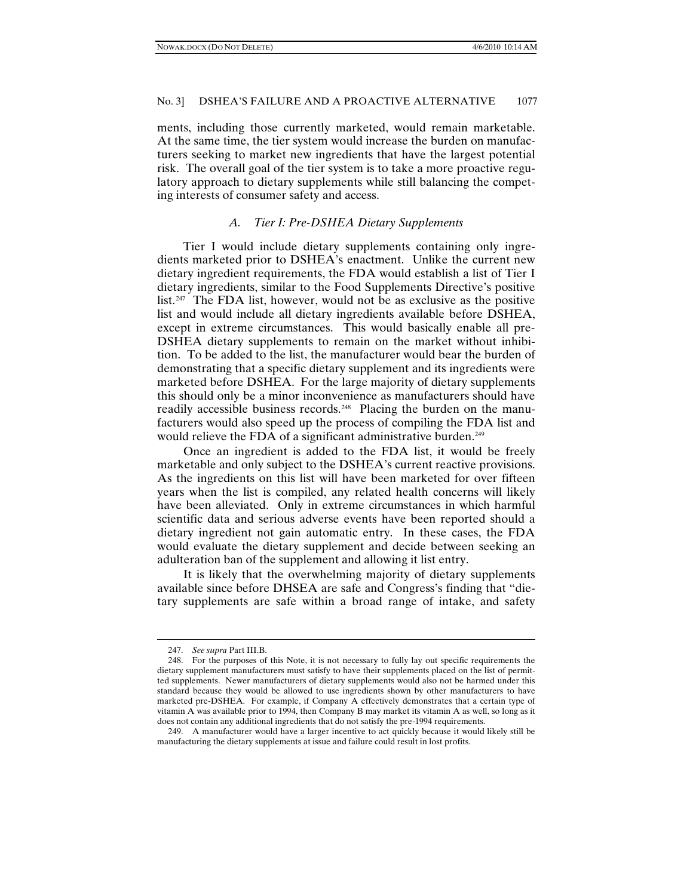ments, including those currently marketed, would remain marketable. At the same time, the tier system would increase the burden on manufacturers seeking to market new ingredients that have the largest potential risk. The overall goal of the tier system is to take a more proactive regulatory approach to dietary supplements while still balancing the competing interests of consumer safety and access.

# *A. Tier I: Pre-DSHEA Dietary Supplements*

Tier I would include dietary supplements containing only ingredients marketed prior to DSHEA's enactment. Unlike the current new dietary ingredient requirements, the FDA would establish a list of Tier I dietary ingredients, similar to the Food Supplements Directive's positive list.<sup>247</sup> The FDA list, however, would not be as exclusive as the positive list and would include all dietary ingredients available before DSHEA, except in extreme circumstances. This would basically enable all pre-DSHEA dietary supplements to remain on the market without inhibition. To be added to the list, the manufacturer would bear the burden of demonstrating that a specific dietary supplement and its ingredients were marketed before DSHEA. For the large majority of dietary supplements this should only be a minor inconvenience as manufacturers should have readily accessible business records.<sup>[248](#page-32-1)</sup> Placing the burden on the manufacturers would also speed up the process of compiling the FDA list and would relieve the FDA of a significant administrative burden.<sup>[249](#page-32-2)</sup>

Once an ingredient is added to the FDA list, it would be freely marketable and only subject to the DSHEA's current reactive provisions. As the ingredients on this list will have been marketed for over fifteen years when the list is compiled, any related health concerns will likely have been alleviated. Only in extreme circumstances in which harmful scientific data and serious adverse events have been reported should a dietary ingredient not gain automatic entry. In these cases, the FDA would evaluate the dietary supplement and decide between seeking an adulteration ban of the supplement and allowing it list entry.

It is likely that the overwhelming majority of dietary supplements available since before DHSEA are safe and Congress's finding that "dietary supplements are safe within a broad range of intake, and safety

<sup>247.</sup> *See supra* Part III.B.

<span id="page-32-1"></span><span id="page-32-0"></span><sup>248.</sup> For the purposes of this Note, it is not necessary to fully lay out specific requirements the dietary supplement manufacturers must satisfy to have their supplements placed on the list of permitted supplements. Newer manufacturers of dietary supplements would also not be harmed under this standard because they would be allowed to use ingredients shown by other manufacturers to have marketed pre-DSHEA. For example, if Company A effectively demonstrates that a certain type of vitamin A was available prior to 1994, then Company B may market its vitamin A as well, so long as it does not contain any additional ingredients that do not satisfy the pre-1994 requirements.

<span id="page-32-2"></span><sup>249.</sup> A manufacturer would have a larger incentive to act quickly because it would likely still be manufacturing the dietary supplements at issue and failure could result in lost profits.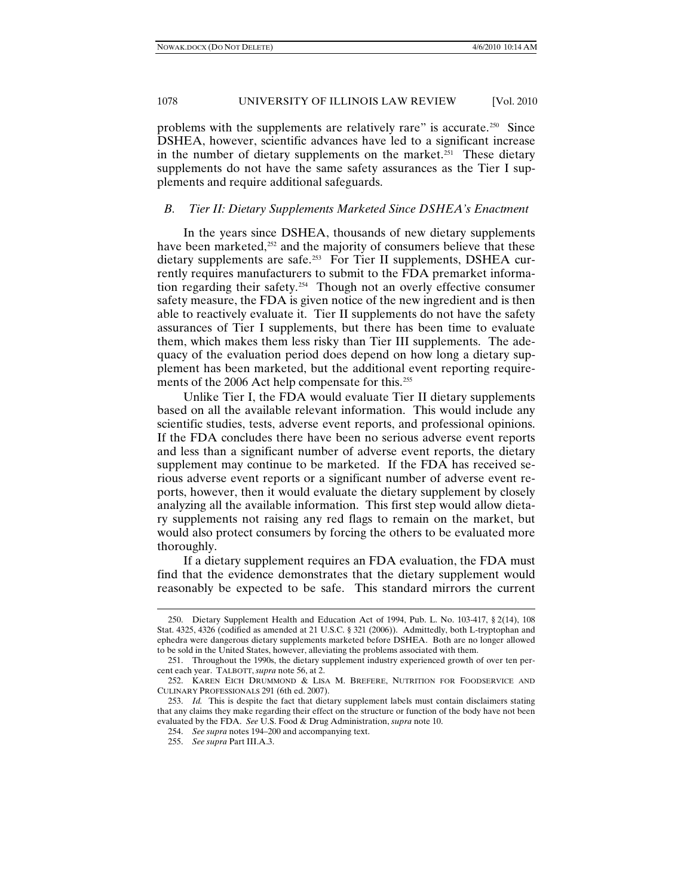problems with the supplements are relatively rare" is accurate.[250](#page-33-0) Since DSHEA, however, scientific advances have led to a significant increase in the number of dietary supplements on the market.<sup>[251](#page-33-1)</sup> These dietary supplements do not have the same safety assurances as the Tier I supplements and require additional safeguards.

### *B. Tier II: Dietary Supplements Marketed Since DSHEA's Enactment*

In the years since DSHEA, thousands of new dietary supplements have been marketed,<sup>[252](#page-33-2)</sup> and the majority of consumers believe that these dietary supplements are safe.[253](#page-33-3) For Tier II supplements, DSHEA currently requires manufacturers to submit to the FDA premarket information regarding their safety.[254](#page-33-4) Though not an overly effective consumer safety measure, the FDA is given notice of the new ingredient and is then able to reactively evaluate it. Tier II supplements do not have the safety assurances of Tier I supplements, but there has been time to evaluate them, which makes them less risky than Tier III supplements. The adequacy of the evaluation period does depend on how long a dietary supplement has been marketed, but the additional event reporting require-ments of the 2006 Act help compensate for this.<sup>[255](#page-33-5)</sup>

Unlike Tier I, the FDA would evaluate Tier II dietary supplements based on all the available relevant information. This would include any scientific studies, tests, adverse event reports, and professional opinions. If the FDA concludes there have been no serious adverse event reports and less than a significant number of adverse event reports, the dietary supplement may continue to be marketed. If the FDA has received serious adverse event reports or a significant number of adverse event reports, however, then it would evaluate the dietary supplement by closely analyzing all the available information. This first step would allow dietary supplements not raising any red flags to remain on the market, but would also protect consumers by forcing the others to be evaluated more thoroughly.

If a dietary supplement requires an FDA evaluation, the FDA must find that the evidence demonstrates that the dietary supplement would reasonably be expected to be safe. This standard mirrors the current

<span id="page-33-0"></span><sup>250.</sup> Dietary Supplement Health and Education Act of 1994, Pub. L. No. 103-417, § 2(14), 108 Stat. 4325, 4326 (codified as amended at 21 U.S.C. § 321 (2006)). Admittedly, both L-tryptophan and ephedra were dangerous dietary supplements marketed before DSHEA. Both are no longer allowed to be sold in the United States, however, alleviating the problems associated with them.

<span id="page-33-1"></span><sup>251.</sup> Throughout the 1990s, the dietary supplement industry experienced growth of over ten percent each year. TALBOTT, *supra* note 56, at 2.

<span id="page-33-2"></span><sup>252.</sup> KAREN EICH DRUMMOND & LISA M. BREFERE, NUTRITION FOR FOODSERVICE AND CULINARY PROFESSIONALS 291 (6th ed. 2007).

<span id="page-33-5"></span><span id="page-33-4"></span><span id="page-33-3"></span><sup>253.</sup> *Id.* This is despite the fact that dietary supplement labels must contain disclaimers stating that any claims they make regarding their effect on the structure or function of the body have not been evaluated by the FDA. *See* U.S. Food & Drug Administration, *supra* note 10.

<sup>254.</sup> *See supra* notes 194–200 and accompanying text.

<sup>255.</sup> *See supra* Part III.A.3.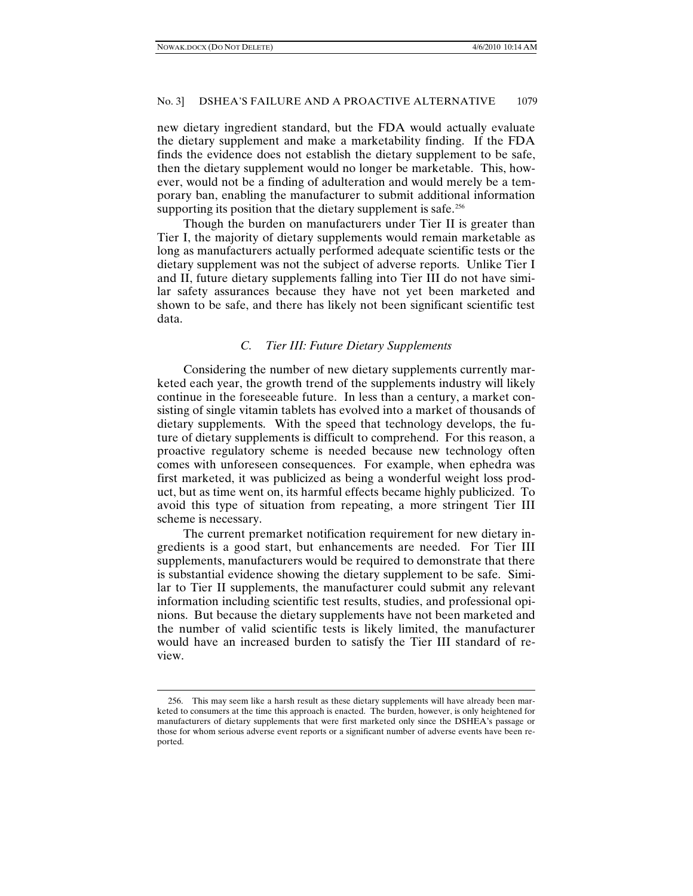#### No. 3] DSHEA'S FAILURE AND A PROACTIVE ALTERNATIVE 1079

new dietary ingredient standard, but the FDA would actually evaluate the dietary supplement and make a marketability finding. If the FDA finds the evidence does not establish the dietary supplement to be safe, then the dietary supplement would no longer be marketable. This, however, would not be a finding of adulteration and would merely be a temporary ban, enabling the manufacturer to submit additional information supporting its position that the dietary supplement is safe.<sup>[256](#page-34-0)</sup>

Though the burden on manufacturers under Tier II is greater than Tier I, the majority of dietary supplements would remain marketable as long as manufacturers actually performed adequate scientific tests or the dietary supplement was not the subject of adverse reports. Unlike Tier I and II, future dietary supplements falling into Tier III do not have similar safety assurances because they have not yet been marketed and shown to be safe, and there has likely not been significant scientific test data.

### *C. Tier III: Future Dietary Supplements*

Considering the number of new dietary supplements currently marketed each year, the growth trend of the supplements industry will likely continue in the foreseeable future. In less than a century, a market consisting of single vitamin tablets has evolved into a market of thousands of dietary supplements. With the speed that technology develops, the future of dietary supplements is difficult to comprehend. For this reason, a proactive regulatory scheme is needed because new technology often comes with unforeseen consequences. For example, when ephedra was first marketed, it was publicized as being a wonderful weight loss product, but as time went on, its harmful effects became highly publicized. To avoid this type of situation from repeating, a more stringent Tier III scheme is necessary.

The current premarket notification requirement for new dietary ingredients is a good start, but enhancements are needed. For Tier III supplements, manufacturers would be required to demonstrate that there is substantial evidence showing the dietary supplement to be safe. Similar to Tier II supplements, the manufacturer could submit any relevant information including scientific test results, studies, and professional opinions. But because the dietary supplements have not been marketed and the number of valid scientific tests is likely limited, the manufacturer would have an increased burden to satisfy the Tier III standard of review.

<span id="page-34-0"></span><sup>256.</sup> This may seem like a harsh result as these dietary supplements will have already been marketed to consumers at the time this approach is enacted. The burden, however, is only heightened for manufacturers of dietary supplements that were first marketed only since the DSHEA's passage or those for whom serious adverse event reports or a significant number of adverse events have been reported.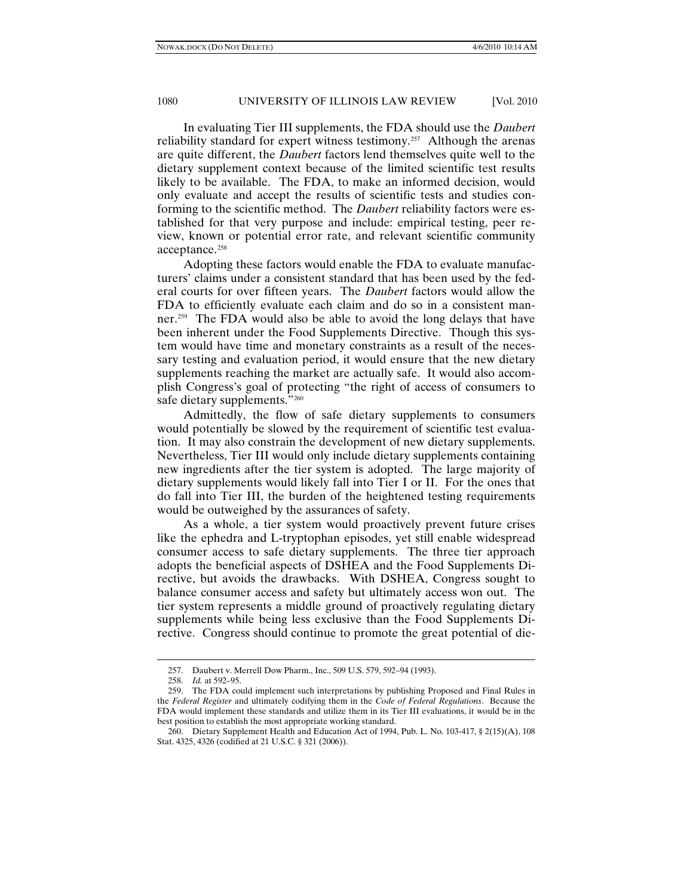In evaluating Tier III supplements, the FDA should use the *Daubert*  reliability standard for expert witness testimony.<sup>[257](#page-35-0)</sup> Although the arenas are quite different, the *Daubert* factors lend themselves quite well to the dietary supplement context because of the limited scientific test results likely to be available. The FDA, to make an informed decision, would only evaluate and accept the results of scientific tests and studies conforming to the scientific method. The *Daubert* reliability factors were established for that very purpose and include: empirical testing, peer review, known or potential error rate, and relevant scientific community acceptance.<sup>[258](#page-35-1)</sup>

Adopting these factors would enable the FDA to evaluate manufacturers' claims under a consistent standard that has been used by the federal courts for over fifteen years. The *Daubert* factors would allow the FDA to efficiently evaluate each claim and do so in a consistent manner.<sup>259</sup> The FDA would also be able to avoid the long delays that have been inherent under the Food Supplements Directive. Though this system would have time and monetary constraints as a result of the necessary testing and evaluation period, it would ensure that the new dietary supplements reaching the market are actually safe. It would also accomplish Congress's goal of protecting "the right of access of consumers to safe dietary supplements."<sup>[260](#page-35-3)</sup>

Admittedly, the flow of safe dietary supplements to consumers would potentially be slowed by the requirement of scientific test evaluation. It may also constrain the development of new dietary supplements. Nevertheless, Tier III would only include dietary supplements containing new ingredients after the tier system is adopted. The large majority of dietary supplements would likely fall into Tier I or II. For the ones that do fall into Tier III, the burden of the heightened testing requirements would be outweighed by the assurances of safety.

As a whole, a tier system would proactively prevent future crises like the ephedra and L-tryptophan episodes, yet still enable widespread consumer access to safe dietary supplements. The three tier approach adopts the beneficial aspects of DSHEA and the Food Supplements Directive, but avoids the drawbacks. With DSHEA, Congress sought to balance consumer access and safety but ultimately access won out. The tier system represents a middle ground of proactively regulating dietary supplements while being less exclusive than the Food Supplements Directive. Congress should continue to promote the great potential of die-

<sup>257.</sup> Daubert v. Merrell Dow Pharm., Inc., 509 U.S. 579, 592–94 (1993).

<sup>258.</sup> *Id.* at 592–95.

<span id="page-35-2"></span><span id="page-35-1"></span><span id="page-35-0"></span><sup>259.</sup> The FDA could implement such interpretations by publishing Proposed and Final Rules in the *Federal Register* and ultimately codifying them in the *Code of Federal Regulations*. Because the FDA would implement these standards and utilize them in its Tier III evaluations, it would be in the best position to establish the most appropriate working standard.

<span id="page-35-3"></span><sup>260.</sup> Dietary Supplement Health and Education Act of 1994, Pub. L. No. 103-417, § 2(15)(A), 108 Stat. 4325, 4326 (codified at 21 U.S.C. § 321 (2006)).